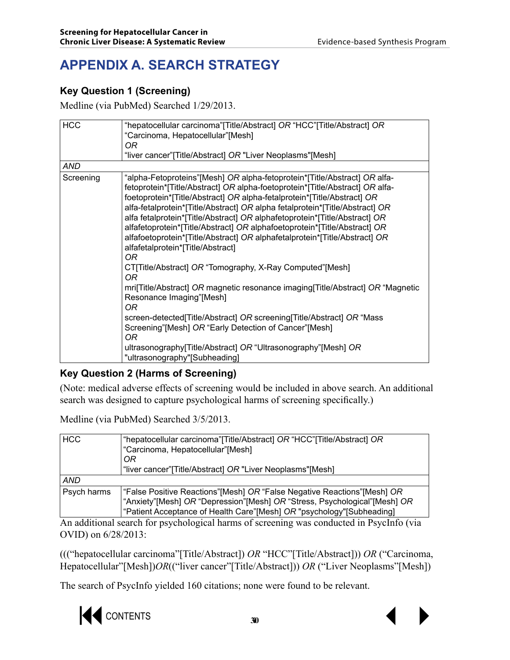# **APPENDIX A. SEARCH STRATEGY**

### **Key Question 1 (Screening)**

Medline (via PubMed) Searched 1/29/2013.

| <b>HCC</b> | "hepatocellular carcinoma" [Title/Abstract] OR "HCC" [Title/Abstract] OR<br>"Carcinoma, Hepatocellular"[Mesh]<br>OR.<br>"liver cancer" [Title/Abstract] OR "Liver Neoplasms" [Mesh]                                                                                                                                                                                                                                                                                                                                                                                                                       |
|------------|-----------------------------------------------------------------------------------------------------------------------------------------------------------------------------------------------------------------------------------------------------------------------------------------------------------------------------------------------------------------------------------------------------------------------------------------------------------------------------------------------------------------------------------------------------------------------------------------------------------|
| AND        |                                                                                                                                                                                                                                                                                                                                                                                                                                                                                                                                                                                                           |
| Screening  | "alpha-Fetoproteins"[Mesh] OR alpha-fetoprotein*[Title/Abstract] OR alfa-<br>fetoprotein*[Title/Abstract] OR alpha-foetoprotein*[Title/Abstract] OR alfa-<br>foetoprotein*[Title/Abstract] OR alpha-fetalprotein*[Title/Abstract] OR<br>alfa-fetalprotein*[Title/Abstract] OR alpha fetalprotein*[Title/Abstract] OR<br>alfa fetalprotein*[Title/Abstract] OR alphafetoprotein*[Title/Abstract] OR<br>alfafetoprotein*[Title/Abstract] OR alphafoetoprotein*[Title/Abstract] OR<br>alfafoetoprotein*[Title/Abstract] OR alphafetalprotein*[Title/Abstract] OR<br>alfafetalprotein*[Title/Abstract]<br>OR. |
|            | CT[Title/Abstract] OR "Tomography, X-Ray Computed"[Mesh]<br>OR.                                                                                                                                                                                                                                                                                                                                                                                                                                                                                                                                           |
|            | mril Title/Abstract] OR magnetic resonance imaging Title/Abstract] OR "Magnetic<br>Resonance Imaging"[Mesh]<br>OR.                                                                                                                                                                                                                                                                                                                                                                                                                                                                                        |
|            | screen-detected [Title/Abstract] OR screening [Title/Abstract] OR "Mass<br>Screening"[Mesh] OR "Early Detection of Cancer"[Mesh]<br>0R                                                                                                                                                                                                                                                                                                                                                                                                                                                                    |
|            | ultrasonography[Title/Abstract] OR "Ultrasonography"[Mesh] OR<br>"ultrasonography"[Subheading]                                                                                                                                                                                                                                                                                                                                                                                                                                                                                                            |

### **Key Question 2 (Harms of Screening)**

(Note: medical adverse effects of screening would be included in above search. An additional search was designed to capture psychological harms of screening specifically.)

Medline (via PubMed) Searched 3/5/2013.

| <b>HCC</b>  | "hepatocellular carcinoma" [Title/Abstract] OR "HCC" [Title/Abstract] OR<br>"Carcinoma, Hepatocellular"[Mesh]<br>0R                                                                                                              |
|-------------|----------------------------------------------------------------------------------------------------------------------------------------------------------------------------------------------------------------------------------|
|             | "liver cancer" [Title/Abstract] OR "Liver Neoplasms" [Mesh]                                                                                                                                                                      |
| <b>AND</b>  |                                                                                                                                                                                                                                  |
| Psych harms | "False Positive Reactions"[Mesh] OR "False Negative Reactions"[Mesh] OR<br>"Anxiety" [Mesh] OR "Depression" [Mesh] OR "Stress, Psychological" [Mesh] OR<br>"Patient Acceptance of Health Care"[Mesh] OR "psychology"[Subheading] |

An additional search for psychological harms of screening was conducted in PsycInfo (via OVID) on 6/28/2013:

((("hepatocellular carcinoma"[Title/Abstract]) *OR* "HCC"[Title/Abstract])) *OR* ("Carcinoma, Hepatocellular"[Mesh])*OR*(("liver cancer"[Title/Abstract])) *OR* ("Liver Neoplasms"[Mesh])

The search of PsycInfo yielded 160 citations; none were found to be relevant.

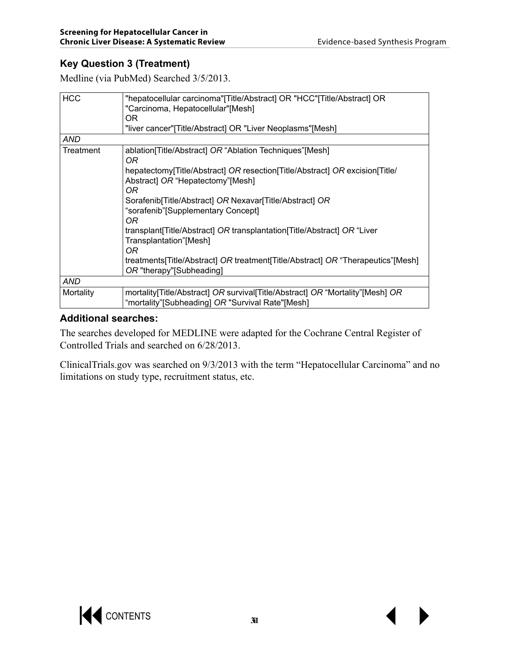### **Key Question 3 (Treatment)**

Medline (via PubMed) Searched 3/5/2013.

| <b>HCC</b> | "hepatocellular carcinoma"[Title/Abstract] OR "HCC"[Title/Abstract] OR<br>"Carcinoma, Hepatocellular"[Mesh]<br>OR.                   |
|------------|--------------------------------------------------------------------------------------------------------------------------------------|
|            | "liver cancer"[Title/Abstract] OR "Liver Neoplasms"[Mesh]                                                                            |
| AND        |                                                                                                                                      |
| Treatment  | ablation[Title/Abstract] OR "Ablation Techniques"[Mesh]<br>OR                                                                        |
|            | hepatectomy[Title/Abstract] OR resection[Title/Abstract] OR excision[Title/<br>Abstract] OR "Hepatectomy"[Mesh]<br>OR.               |
|            | Sorafenib[Title/Abstract] OR Nexavar[Title/Abstract] OR<br>"sorafenib"[Supplementary Concept]<br>OR                                  |
|            | transplant[Title/Abstract] OR transplantation[Title/Abstract] OR "Liver<br>Transplantation"[Mesh]<br>OR                              |
|            | treatments [Title/Abstract] OR treatment [Title/Abstract] OR "Therapeutics" [Mesh]<br>OR "therapy"[Subheading]                       |
| <b>AND</b> |                                                                                                                                      |
| Mortality  | mortality [Title/Abstract] OR survival [Title/Abstract] OR "Mortality" [Mesh] OR<br>"mortality"[Subheading] OR "Survival Rate"[Mesh] |

### **Additional searches:**

The searches developed for MEDLINE were adapted for the Cochrane Central Register of Controlled Trials and searched on 6/28/2013.

ClinicalTrials.gov was searched on 9/3/2013 with the term "Hepatocellular Carcinoma" and no limitations on study type, recruitment status, etc.

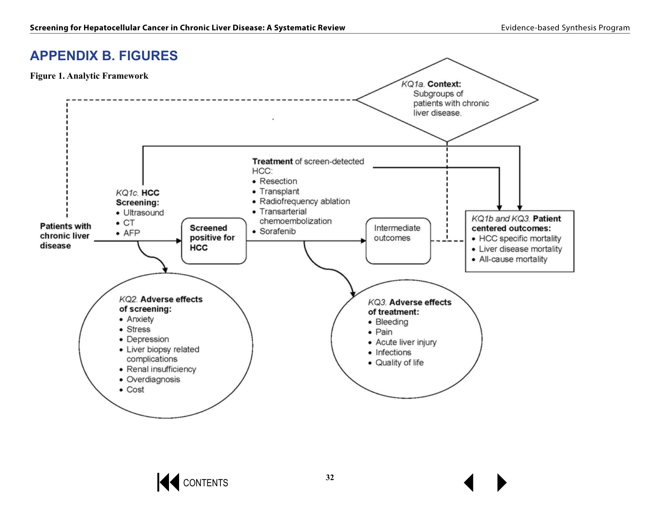## **APPENDIX B. FIGURES**



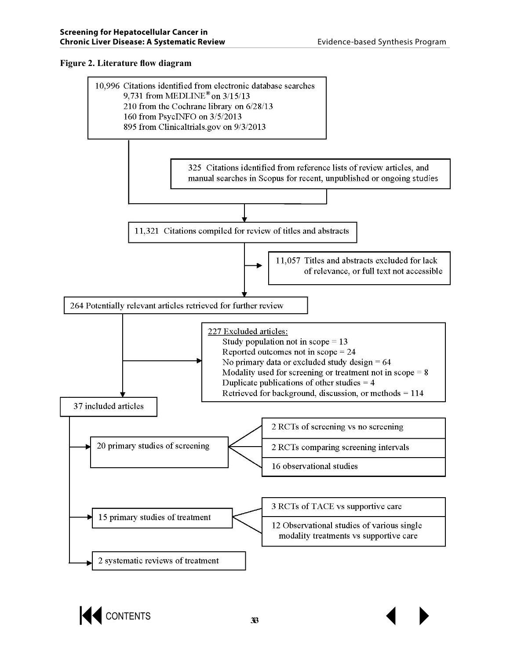#### **Figure 2. Literature flow diagram**



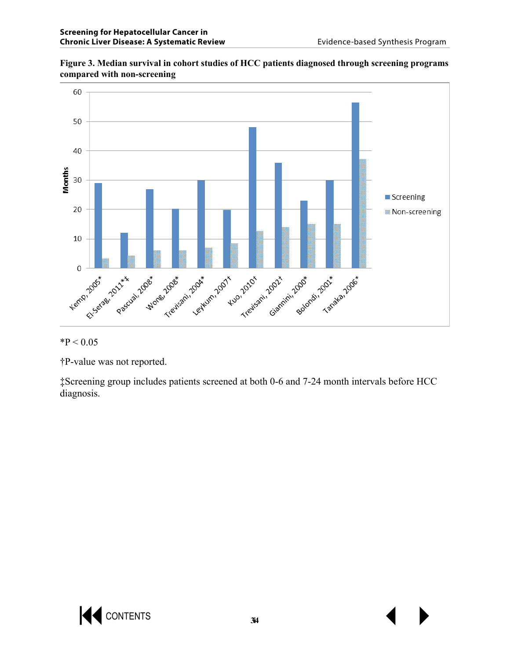

**Figure 3. Median survival in cohort studies of HCC patients diagnosed through screening programs compared with non-screening** 

 $*P < 0.05$ 

†P-value was not reported.

‡Screening group includes patients screened at both 0-6 and 7-24 month intervals before HCC diagnosis.

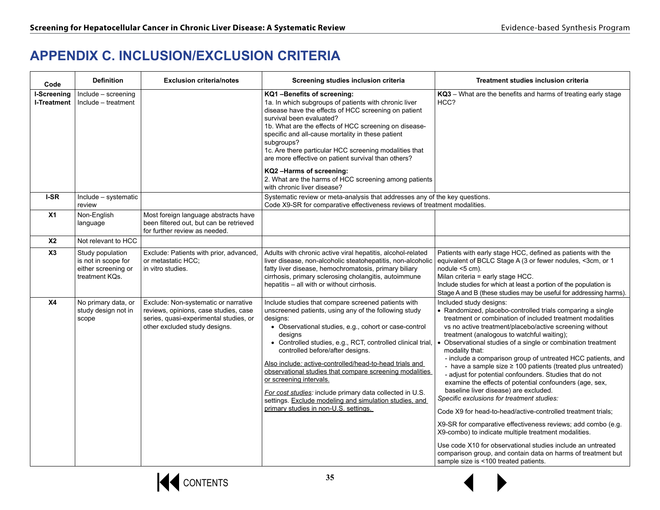# **APPENDIX C. INCLUSION/EXCLUSION CRITERIA**

| Code                       | <b>Definition</b>                                                                | <b>Exclusion criteria/notes</b>                                                                                                                          | Screening studies inclusion criteria                                                                                                                                                                                                                                                                                                                                                                                                                                                                                                                                                                            | Treatment studies inclusion criteria                                                                                                                                                                                                                                                                                                                                                                                                                                                                                                                                                                                                                                                                                                                                                                                                                                                                                                                                                                                                                         |
|----------------------------|----------------------------------------------------------------------------------|----------------------------------------------------------------------------------------------------------------------------------------------------------|-----------------------------------------------------------------------------------------------------------------------------------------------------------------------------------------------------------------------------------------------------------------------------------------------------------------------------------------------------------------------------------------------------------------------------------------------------------------------------------------------------------------------------------------------------------------------------------------------------------------|--------------------------------------------------------------------------------------------------------------------------------------------------------------------------------------------------------------------------------------------------------------------------------------------------------------------------------------------------------------------------------------------------------------------------------------------------------------------------------------------------------------------------------------------------------------------------------------------------------------------------------------------------------------------------------------------------------------------------------------------------------------------------------------------------------------------------------------------------------------------------------------------------------------------------------------------------------------------------------------------------------------------------------------------------------------|
| I-Screening<br>I-Treatment | Include - screening<br>Include - treatment                                       |                                                                                                                                                          | KQ1-Benefits of screening:<br>1a. In which subgroups of patients with chronic liver<br>disease have the effects of HCC screening on patient<br>survival been evaluated?<br>1b. What are the effects of HCC screening on disease-<br>specific and all-cause mortality in these patient<br>subgroups?<br>1c. Are there particular HCC screening modalities that<br>are more effective on patient survival than others?<br>KQ2-Harms of screening:<br>2. What are the harms of HCC screening among patients<br>with chronic liver disease?                                                                         | KQ3 - What are the benefits and harms of treating early stage<br>HCC?                                                                                                                                                                                                                                                                                                                                                                                                                                                                                                                                                                                                                                                                                                                                                                                                                                                                                                                                                                                        |
| I-SR                       | Include - systematic<br>review                                                   |                                                                                                                                                          | Systematic review or meta-analysis that addresses any of the key questions.<br>Code X9-SR for comparative effectiveness reviews of treatment modalities.                                                                                                                                                                                                                                                                                                                                                                                                                                                        |                                                                                                                                                                                                                                                                                                                                                                                                                                                                                                                                                                                                                                                                                                                                                                                                                                                                                                                                                                                                                                                              |
| X <sub>1</sub>             | Non-English<br>language                                                          | Most foreign language abstracts have<br>been filtered out, but can be retrieved<br>for further review as needed.                                         |                                                                                                                                                                                                                                                                                                                                                                                                                                                                                                                                                                                                                 |                                                                                                                                                                                                                                                                                                                                                                                                                                                                                                                                                                                                                                                                                                                                                                                                                                                                                                                                                                                                                                                              |
| <b>X2</b>                  | Not relevant to HCC                                                              |                                                                                                                                                          |                                                                                                                                                                                                                                                                                                                                                                                                                                                                                                                                                                                                                 |                                                                                                                                                                                                                                                                                                                                                                                                                                                                                                                                                                                                                                                                                                                                                                                                                                                                                                                                                                                                                                                              |
| X3                         | Study population<br>is not in scope for<br>either screening or<br>treatment KQs. | Exclude: Patients with prior, advanced,<br>or metastatic HCC;<br>in vitro studies.                                                                       | Adults with chronic active viral hepatitis, alcohol-related<br>liver disease, non-alcoholic steatohepatitis, non-alcoholic<br>fatty liver disease, hemochromatosis, primary biliary<br>cirrhosis, primary sclerosing cholangitis, autoimmune<br>hepatitis – all with or without cirrhosis.                                                                                                                                                                                                                                                                                                                      | Patients with early stage HCC, defined as patients with the<br>equivalent of BCLC Stage A (3 or fewer nodules, <3cm, or 1<br>nodule $<$ 5 cm).<br>Milan criteria = early stage HCC.<br>Include studies for which at least a portion of the population is<br>Stage A and B (these studies may be useful for addressing harms).                                                                                                                                                                                                                                                                                                                                                                                                                                                                                                                                                                                                                                                                                                                                |
| X <sub>4</sub>             | No primary data, or<br>study design not in<br>scope                              | Exclude: Non-systematic or narrative<br>reviews, opinions, case studies, case<br>series, quasi-experimental studies, or<br>other excluded study designs. | Include studies that compare screened patients with<br>unscreened patients, using any of the following study<br>designs:<br>• Observational studies, e.g., cohort or case-control<br>designs<br>• Controlled studies, e.g., RCT, controlled clinical trial,<br>controlled before/after designs.<br>Also include: active-controlled/head-to-head trials and<br>observational studies that compare screening modalities<br>or screening intervals.<br>For cost studies: include primary data collected in U.S.<br>settings. Exclude modeling and simulation studies, and<br>primary studies in non-U.S. settings. | Included study designs:<br>• Randomized, placebo-controlled trials comparing a single<br>treatment or combination of included treatment modalities<br>vs no active treatment/placebo/active screening without<br>treatment (analogous to watchful waiting);<br>Observational studies of a single or combination treatment<br>modality that:<br>- include a comparison group of untreated HCC patients, and<br>- have a sample size $\geq 100$ patients (treated plus untreated)<br>- adjust for potential confounders. Studies that do not<br>examine the effects of potential confounders (age, sex,<br>baseline liver disease) are excluded.<br>Specific exclusions for treatment studies:<br>Code X9 for head-to-head/active-controlled treatment trials;<br>X9-SR for comparative effectiveness reviews; add combo (e.g.<br>X9-combo) to indicate multiple treatment modalities.<br>Use code X10 for observational studies include an untreated<br>comparison group, and contain data on harms of treatment but<br>sample size is <100 treated patients. |



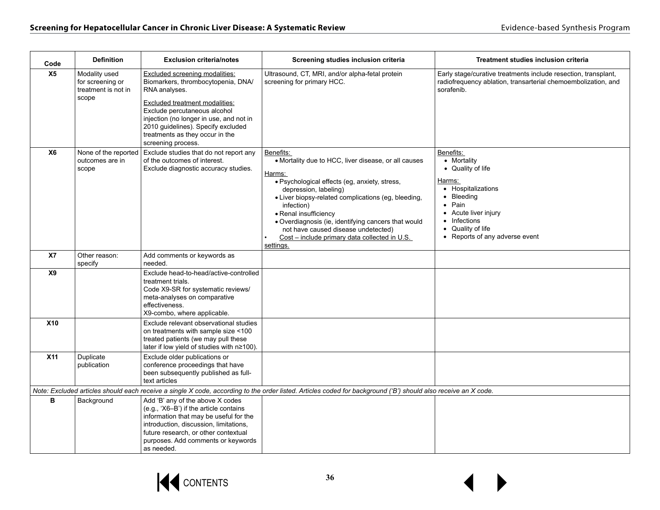| Code       | <b>Definition</b>                                                 | <b>Exclusion criteria/notes</b>                                                                                                                                                                                                                                                                          | Screening studies inclusion criteria                                                                                                                                                                                                                                                                                                                                                                            | <b>Treatment studies inclusion criteria</b>                                                                                                                                                                  |
|------------|-------------------------------------------------------------------|----------------------------------------------------------------------------------------------------------------------------------------------------------------------------------------------------------------------------------------------------------------------------------------------------------|-----------------------------------------------------------------------------------------------------------------------------------------------------------------------------------------------------------------------------------------------------------------------------------------------------------------------------------------------------------------------------------------------------------------|--------------------------------------------------------------------------------------------------------------------------------------------------------------------------------------------------------------|
| X5         | Modality used<br>for screening or<br>treatment is not in<br>scope | <b>Excluded screening modalities:</b><br>Biomarkers, thrombocytopenia, DNA/<br>RNA analyses.<br>Excluded treatment modalities:<br>Exclude percutaneous alcohol<br>injection (no longer in use, and not in<br>2010 guidelines). Specify excluded<br>treatments as they occur in the<br>screening process. | Ultrasound, CT, MRI, and/or alpha-fetal protein<br>screening for primary HCC.                                                                                                                                                                                                                                                                                                                                   | Early stage/curative treatments include resection, transplant,<br>radiofrequency ablation, transarterial chemoembolization, and<br>sorafenib.                                                                |
| <b>X6</b>  | None of the reported<br>outcomes are in<br>scope                  | Exclude studies that do not report any<br>of the outcomes of interest.<br>Exclude diagnostic accuracy studies.                                                                                                                                                                                           | Benefits:<br>• Mortality due to HCC, liver disease, or all causes<br>Harms:<br>· Psychological effects (eg, anxiety, stress,<br>depression, labeling)<br>· Liver biopsy-related complications (eg, bleeding,<br>infection)<br>• Renal insufficiency<br>· Overdiagnosis (ie, identifying cancers that would<br>not have caused disease undetected)<br>Cost - include primary data collected in U.S.<br>settings. | Benefits:<br>• Mortality<br>• Quality of life<br>Harms:<br>• Hospitalizations<br>• Bleeding<br>$\bullet$ Pain<br>• Acute liver injury<br>• Infections<br>• Quality of life<br>• Reports of any adverse event |
| X7         | Other reason:<br>specify                                          | Add comments or keywords as<br>needed.                                                                                                                                                                                                                                                                   |                                                                                                                                                                                                                                                                                                                                                                                                                 |                                                                                                                                                                                                              |
| X9         |                                                                   | Exclude head-to-head/active-controlled<br>treatment trials.<br>Code X9-SR for systematic reviews/<br>meta-analyses on comparative<br>effectiveness.<br>X9-combo, where applicable.                                                                                                                       |                                                                                                                                                                                                                                                                                                                                                                                                                 |                                                                                                                                                                                                              |
| <b>X10</b> |                                                                   | Exclude relevant observational studies<br>on treatments with sample size <100<br>treated patients (we may pull these<br>later if low yield of studies with n≥100).                                                                                                                                       |                                                                                                                                                                                                                                                                                                                                                                                                                 |                                                                                                                                                                                                              |
| <b>X11</b> | Duplicate<br>publication                                          | Exclude older publications or<br>conference proceedings that have<br>been subsequently published as full-<br>text articles                                                                                                                                                                               |                                                                                                                                                                                                                                                                                                                                                                                                                 |                                                                                                                                                                                                              |
|            |                                                                   |                                                                                                                                                                                                                                                                                                          | Note: Excluded articles should each receive a single X code, according to the order listed. Articles coded for background ('B') should also receive an X code.                                                                                                                                                                                                                                                  |                                                                                                                                                                                                              |
| в          | Background                                                        | Add 'B' any of the above X codes<br>(e.g., 'X6-B') if the article contains<br>information that may be useful for the<br>introduction, discussion, limitations,<br>future research, or other contextual<br>purposes. Add comments or keywords<br>as needed.                                               |                                                                                                                                                                                                                                                                                                                                                                                                                 |                                                                                                                                                                                                              |

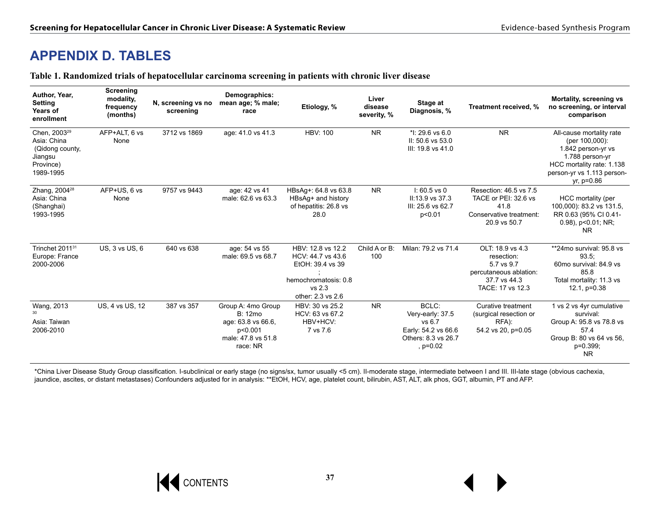## **APPENDIX D. TABLES**

|  | Table 1. Randomized trials of hepatocellular carcinoma screening in patients with chronic liver disease |  |  |
|--|---------------------------------------------------------------------------------------------------------|--|--|
|  |                                                                                                         |  |  |

| Author, Year,<br>Setting<br>Years of<br>enrollment                                              | Screening<br>modality,<br>frequency<br>(months) | N, screening vs no<br>screening | Demographics:<br>mean age; % male;<br>race                                                       | Etiology, %                                                                                                       | Liver<br>disease<br>severity, % | Stage at<br>Diagnosis, %                                                                        | Treatment received, %                                                                                      | Mortality, screening vs<br>no screening, or interval<br>comparison                                                                                             |
|-------------------------------------------------------------------------------------------------|-------------------------------------------------|---------------------------------|--------------------------------------------------------------------------------------------------|-------------------------------------------------------------------------------------------------------------------|---------------------------------|-------------------------------------------------------------------------------------------------|------------------------------------------------------------------------------------------------------------|----------------------------------------------------------------------------------------------------------------------------------------------------------------|
| Chen, 2003 <sup>29</sup><br>Asia: China<br>(Qidong county,<br>Jiangsu<br>Province)<br>1989-1995 | AFP+ALT, 6 vs<br>None                           | 3712 vs 1869                    | age: 41.0 vs 41.3                                                                                | <b>HBV: 100</b>                                                                                                   | <b>NR</b>                       | * $1:29.6$ vs 6.0<br>II: 50.6 vs 53.0<br>III: 19.8 vs 41.0                                      | <b>NR</b>                                                                                                  | All-cause mortality rate<br>(per 100,000):<br>1.842 person-yr vs<br>1.788 person-yr<br>HCC mortality rate: 1.138<br>person-yr vs 1.113 person-<br>$yr, p=0.86$ |
| Zhang, 2004 <sup>28</sup><br>Asia: China<br>(Shanghai)<br>1993-1995                             | AFP+US, 6 vs<br>None                            | 9757 vs 9443                    | age: 42 vs 41<br>male: 62.6 vs 63.3                                                              | HBsAg+: 64.8 vs 63.8<br>HBsAg+ and history<br>of hepatitis: 26.8 vs<br>28.0                                       | N <sub>R</sub>                  | $1:60.5$ vs 0<br>II:13.9 vs 37.3<br>III: 25.6 vs 62.7<br>p<0.01                                 | Resection: 46.5 vs 7.5<br>TACE or PEI: 32.6 vs<br>41.8<br>Conservative treatment:<br>20.9 vs 50.7          | HCC mortality (per<br>100,000): 83.2 vs 131.5,<br>RR 0.63 (95% CI 0.41-<br>$0.98$ ), $p<0.01$ ; NR;<br><b>NR</b>                                               |
| Trinchet 2011 <sup>31</sup><br>Europe: France<br>2000-2006                                      | US, 3 vs US, 6                                  | 640 vs 638                      | age: 54 vs 55<br>male: 69.5 vs 68.7                                                              | HBV: 12.8 vs 12.2<br>HCV: 44.7 vs 43.6<br>EtOH: 39.4 vs 39<br>hemochromatosis: 0.8<br>vs 2.3<br>other: 2.3 vs 2.6 | Child A or B:<br>100            | Milan: 79.2 vs 71.4                                                                             | OLT: 18.9 vs 4.3<br>resection:<br>5.7 vs 9.7<br>percutaneous ablation:<br>37.7 vs 44.3<br>TACE: 17 vs 12.3 | **24mo survival: 95.8 vs<br>93.5:<br>60mo survival: 84.9 vs<br>85.8<br>Total mortality: 11.3 vs<br>$12.1$ , $p=0.38$                                           |
| Wang, 2013<br>Asia: Taiwan<br>2006-2010                                                         | US, 4 vs US, 12                                 | 387 vs 357                      | Group A: 4mo Group<br>B: 12mo<br>age: 63.8 vs 66.6,<br>p<0.001<br>male: 47.8 vs 51.8<br>race: NR | HBV: 30 vs 25.2<br>HCV: 63 vs 67.2<br>HBV+HCV:<br>7 vs 7.6                                                        | N <sub>R</sub>                  | BCLC:<br>Very-early: 37.5<br>vs 6.7<br>Early: 54.2 vs 66.6<br>Others: 8.3 vs 26.7<br>$, p=0.02$ | Curative treatment<br>(surgical resection or<br>RFA):<br>54.2 vs 20, p=0.05                                | 1 vs 2 vs 4yr cumulative<br>survival:<br>Group A: 95.8 vs 78.8 vs<br>57.4<br>Group B: 80 vs 64 vs 56,<br>p=0.399;<br><b>NR</b>                                 |

\*China Liver Disease Study Group classification. I-subclinical or early stage (no signs/sx, tumor usually <5 cm). II-moderate stage, intermediate between I and III. III-late stage (obvious cachexia, jaundice, ascites, or distant metastases) Confounders adjusted for in analysis: \*\*EtOH, HCV, age, platelet count, bilirubin, AST, ALT, alk phos, GGT, albumin, PT and AFP.

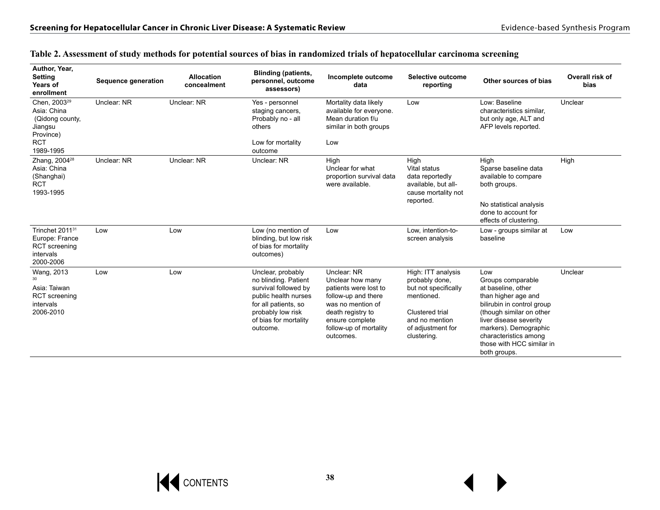| Author, Year,<br><b>Setting</b><br>Years of<br>enrollment                           | Sequence generation | <b>Allocation</b><br>concealment | <b>Blinding (patients,</b><br>personnel, outcome<br>assessors)                                                                                                              | Incomplete outcome<br>data                                                                                                                                                          | Selective outcome<br>reporting                                                                                                                      | Other sources of bias                                                                                                                                                                                                                                    | Overall risk of<br>bias |
|-------------------------------------------------------------------------------------|---------------------|----------------------------------|-----------------------------------------------------------------------------------------------------------------------------------------------------------------------------|-------------------------------------------------------------------------------------------------------------------------------------------------------------------------------------|-----------------------------------------------------------------------------------------------------------------------------------------------------|----------------------------------------------------------------------------------------------------------------------------------------------------------------------------------------------------------------------------------------------------------|-------------------------|
| Chen, 2003 <sup>29</sup><br>Asia: China<br>(Qidong county,<br>Jiangsu<br>Province)  | Unclear: NR         | Unclear: NR                      | Yes - personnel<br>staging cancers,<br>Probably no - all<br>others                                                                                                          | Mortality data likely<br>available for everyone.<br>Mean duration f/u<br>similar in both groups                                                                                     | Low                                                                                                                                                 | Low: Baseline<br>characteristics similar,<br>but only age, ALT and<br>AFP levels reported.                                                                                                                                                               | Unclear                 |
| <b>RCT</b><br>1989-1995                                                             |                     |                                  | Low for mortality<br>outcome                                                                                                                                                | Low                                                                                                                                                                                 |                                                                                                                                                     |                                                                                                                                                                                                                                                          |                         |
| Zhang, 2004 <sup>28</sup><br>Asia: China<br>(Shanghai)<br><b>RCT</b><br>1993-1995   | Unclear: NR         | Unclear: NR                      | Unclear: NR                                                                                                                                                                 | High<br>Unclear for what<br>proportion survival data<br>were available.                                                                                                             | High<br>Vital status<br>data reportedly<br>available, but all-<br>cause mortality not                                                               | High<br>Sparse baseline data<br>available to compare<br>both groups.                                                                                                                                                                                     | High                    |
|                                                                                     |                     |                                  |                                                                                                                                                                             |                                                                                                                                                                                     | reported.                                                                                                                                           | No statistical analysis<br>done to account for<br>effects of clustering.                                                                                                                                                                                 |                         |
| Trinchet 201131<br>Europe: France<br><b>RCT</b> screening<br>intervals<br>2000-2006 | Low                 | Low                              | Low (no mention of<br>blinding, but low risk<br>of bias for mortality<br>outcomes)                                                                                          | Low                                                                                                                                                                                 | Low, intention-to-<br>screen analysis                                                                                                               | Low - groups similar at<br>baseline                                                                                                                                                                                                                      | Low                     |
| Wang, 2013<br>30<br>Asia: Taiwan<br><b>RCT</b> screening<br>intervals<br>2006-2010  | Low                 | Low                              | Unclear, probably<br>no blinding. Patient<br>survival followed by<br>public health nurses<br>for all patients, so<br>probably low risk<br>of bias for mortality<br>outcome. | Unclear: NR<br>Unclear how many<br>patients were lost to<br>follow-up and there<br>was no mention of<br>death registry to<br>ensure complete<br>follow-up of mortality<br>outcomes. | High: ITT analysis<br>probably done,<br>but not specifically<br>mentioned.<br>Clustered trial<br>and no mention<br>of adjustment for<br>clustering. | Low<br>Groups comparable<br>at baseline, other<br>than higher age and<br>bilirubin in control group<br>(though similar on other<br>liver disease severity<br>markers). Demographic<br>characteristics among<br>those with HCC similar in<br>both groups. | Unclear                 |

#### **Table 2. Assessment of study methods for potential sources of bias in randomized trials of hepatocellular carcinoma screening**

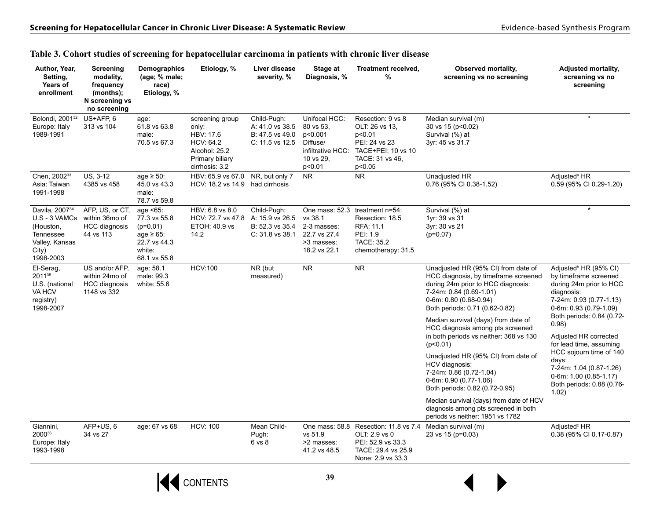| Author, Year,<br>Setting,<br>Years of<br>enrollment                                                                  | Screening<br>modality,<br>frequency<br>(months);<br>N screening vs<br>no screening | Demographics<br>(age; % male;<br>race)<br>Etiology, %                                               | Etiology, %                                                                                              | Liver disease<br>severity, %                                         | Stage at<br>Diagnosis, %                                                                      | Treatment received,<br>%                                                                                                                   | Observed mortality,<br>screening vs no screening                                                                                                                                                         | <b>Adjusted mortality,</b><br>screening vs no<br>screening                                                                                                                            |
|----------------------------------------------------------------------------------------------------------------------|------------------------------------------------------------------------------------|-----------------------------------------------------------------------------------------------------|----------------------------------------------------------------------------------------------------------|----------------------------------------------------------------------|-----------------------------------------------------------------------------------------------|--------------------------------------------------------------------------------------------------------------------------------------------|----------------------------------------------------------------------------------------------------------------------------------------------------------------------------------------------------------|---------------------------------------------------------------------------------------------------------------------------------------------------------------------------------------|
| Bolondi, 2001 <sup>32</sup><br>Europe: Italy<br>1989-1991                                                            | US+AFP, 6<br>313 vs 104                                                            | age:<br>61.8 vs 63.8<br>male:<br>70.5 vs 67.3                                                       | screening group<br>only:<br>HBV: 17.6<br>HCV: 64.2<br>Alcohol: 25.2<br>Primary biliary<br>cirrhosis: 3.2 | Child-Pugh:<br>A: 41.0 vs 38.5<br>B: 47.5 vs 49.0<br>C: 11.5 vs 12.5 | Unifocal HCC:<br>80 vs 53,<br>p<0.001<br>Diffuse/<br>infiltrative HCC:<br>10 vs 29,<br>p<0.01 | Resection: 9 vs 8<br>OLT: 26 vs 13,<br>p<0.01<br>PEI: 24 vs 23<br>TACE+PEI: 10 vs 10<br>TACE: 31 vs 46,<br>p<0.05                          | Median survival (m)<br>30 vs 15 (p<0.02)<br>Survival (%) at<br>3yr: 45 vs 31.7                                                                                                                           | $\star$                                                                                                                                                                               |
| Chen, 200233<br>Asia: Taiwan<br>1991-1998                                                                            | US, 3-12<br>4385 vs 458                                                            | age $\geq$ 50:<br>45.0 vs 43.3<br>male:<br>78.7 vs 59.8                                             | HBV: 65.9 vs 67.0<br>HCV: 18.2 vs 14.9 had cirrhosis                                                     | NR, but only 7                                                       | <b>NR</b>                                                                                     | NR.                                                                                                                                        | Unadjusted HR<br>0.76 (95% CI 0.38-1.52)                                                                                                                                                                 | Adjusted <sup>a</sup> HR<br>0.59 (95% CI 0.29-1.20)                                                                                                                                   |
| Davila, 2007 <sup>34</sup><br>U.S - 3 VAMCs<br>(Houston,<br><b>Tennessee</b><br>Valley, Kansas<br>City)<br>1998-2003 | AFP, US, or CT,<br>within 36mo of<br>HCC diagnosis<br>44 vs 113                    | age <65:<br>77.3 vs 55.8<br>$(p=0.01)$<br>age $\geq 65$ :<br>22.7 vs 44.3<br>white:<br>68.1 vs 55.8 | HBV: 6.8 vs 8.0<br>HCV: 72.7 vs 47.8<br>ETOH: 40.9 vs<br>14.2                                            | Child-Pugh:<br>A: 15.9 vs 26.5<br>B: 52.3 vs 35.4<br>C: 31.8 vs 38.1 | One mass: 52.3<br>vs 38.1<br>2-3 masses:<br>22.7 vs 27.4<br>>3 masses:<br>18.2 vs 22.1        | treatment n=54:<br>Resection: 18.5<br>RFA: 11.1<br>PEI: 1.9<br>TACE: 35.2<br>chemotherapy: 31.5                                            | Survival (%) at<br>1yr: 39 vs 31<br>3yr: 30 vs 21<br>$(p=0.07)$                                                                                                                                          | $\star$                                                                                                                                                                               |
| El-Serag,<br>201135<br>U.S. (national<br>VA HCV<br>registry)<br>1998-2007                                            | US and/or AFP.<br>within 24mo of<br>HCC diagnosis<br>1148 vs 332                   | age: 58.1<br>male: 99.3<br>white: 55.6                                                              | <b>HCV:100</b>                                                                                           | NR (but<br>measured)                                                 | ${\sf NR}$                                                                                    | NR.                                                                                                                                        | Unadjusted HR (95% CI) from date of<br>HCC diagnosis, by timeframe screened<br>during 24m prior to HCC diagnosis:<br>7-24m: 0.84 (0.69-1.01)<br>0-6m: 0.80 (0.68-0.94)<br>Both periods: 0.71 (0.62-0.82) | Adjusted <sup>b</sup> HR (95% CI)<br>by timeframe screened<br>during 24m prior to HCC<br>diagnosis:<br>7-24m: 0.93 (0.77-1.13)<br>0-6m: 0.93 (0.79-1.09)<br>Both periods: 0.84 (0.72- |
|                                                                                                                      |                                                                                    |                                                                                                     |                                                                                                          |                                                                      |                                                                                               |                                                                                                                                            | Median survival (days) from date of<br>HCC diagnosis among pts screened<br>in both periods vs neither: 368 vs 130<br>(p<0.01)                                                                            | 0.98)<br>Adjusted HR corrected<br>for lead time, assuming                                                                                                                             |
|                                                                                                                      |                                                                                    |                                                                                                     |                                                                                                          |                                                                      |                                                                                               |                                                                                                                                            | Unadjusted HR (95% CI) from date of<br>HCV diagnosis:<br>7-24m: 0.86 (0.72-1.04)<br>0-6m: 0.90 (0.77-1.06)<br>Both periods: 0.82 (0.72-0.95)                                                             | HCC sojourn time of 140<br>days:<br>7-24m: 1.04 (0.87-1.26)<br>$0.6m: 1.00 (0.85-1.17)$<br>Both periods: 0.88 (0.76-<br>1.02)                                                         |
|                                                                                                                      |                                                                                    |                                                                                                     |                                                                                                          |                                                                      |                                                                                               |                                                                                                                                            | Median survival (days) from date of HCV<br>diagnosis among pts screened in both<br>periods vs neither: 1951 vs 1782                                                                                      |                                                                                                                                                                                       |
| Giannini,<br>200036<br>Europe: Italy<br>1993-1998                                                                    | AFP+US, 6<br>34 vs 27                                                              | age: 67 vs 68                                                                                       | <b>HCV: 100</b>                                                                                          | Mean Child-<br>Pugh:<br>6 vs 8                                       | vs 51.9<br>>2 masses:<br>41.2 vs 48.5                                                         | One mass: 58.8 Resection: 11.8 vs 7.4 Median survival (m)<br>OLT: 2.9 vs 0<br>PEI: 52.9 vs 33.3<br>TACE: 29.4 vs 25.9<br>None: 2.9 vs 33.3 | 23 vs 15 (p=0.03)                                                                                                                                                                                        | Adjusted <sup>c</sup> HR<br>0.38 (95% CI 0.17-0.87)                                                                                                                                   |

#### **Table 3. Cohort studies of screening for hepatocellular carcinoma in patients with chronic liver disease**



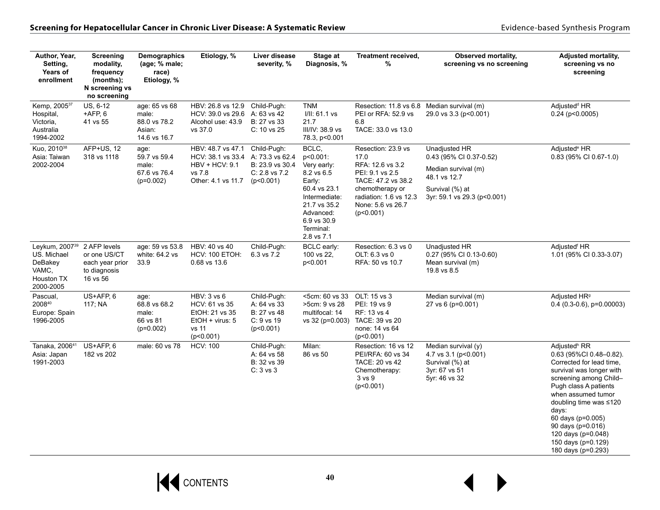| Author, Year,<br>Setting,<br>Years of<br>enrollment                                             | <b>Screening</b><br>modality,<br>frequency<br>(months);<br>N screening vs<br>no screening | Demographics<br>(age; % male;<br>race)<br>Etiology, %            | Etiology, %                                                                                | Liver disease<br>severity, %                                                        | Stage at<br>Diagnosis, %                                                                                                                           | Treatment received,<br>%                                                                                                                                                   | Observed mortality,<br>screening vs no screening                                                                                  | <b>Adjusted mortality,</b><br>screening vs no<br>screening                                                                                                                                                                                                                                                                          |
|-------------------------------------------------------------------------------------------------|-------------------------------------------------------------------------------------------|------------------------------------------------------------------|--------------------------------------------------------------------------------------------|-------------------------------------------------------------------------------------|----------------------------------------------------------------------------------------------------------------------------------------------------|----------------------------------------------------------------------------------------------------------------------------------------------------------------------------|-----------------------------------------------------------------------------------------------------------------------------------|-------------------------------------------------------------------------------------------------------------------------------------------------------------------------------------------------------------------------------------------------------------------------------------------------------------------------------------|
| Kemp, 200537<br>Hospital,<br>Victoria,<br>Australia<br>1994-2002                                | US, 6-12<br>$+$ AFP, $6$<br>41 vs 55                                                      | age: 65 vs 68<br>male:<br>88.0 vs 78.2<br>Asian:<br>14.6 vs 16.7 | HBV: 26.8 vs 12.9<br>HCV: 39.0 vs 29.6<br>Alcohol use: 43.9<br>vs 37.0                     | Child-Pugh:<br>A: 63 vs 42<br>B: 27 vs 33<br>$C: 10$ vs 25                          | <b>TNM</b><br>I/II: 61.1 vs<br>21.7<br>III/IV: 38.9 vs<br>78.3, p<0.001                                                                            | Resection: 11.8 vs 6.8 Median survival (m)<br>PEI or RFA: 52.9 vs<br>6.8<br>TACE: 33.0 vs 13.0                                                                             | 29.0 vs 3.3 (p<0.001)                                                                                                             | Adjusted <sup>d</sup> HR<br>$0.24$ ( $p<0.0005$ )                                                                                                                                                                                                                                                                                   |
| Kuo, 2010 <sup>38</sup><br>Asia: Taiwan<br>2002-2004                                            | AFP+US, 12<br>318 vs 1118                                                                 | age:<br>59.7 vs 59.4<br>male:<br>67.6 vs 76.4<br>$(p=0.002)$     | HBV: 48.7 vs 47.1<br>HCV: 38.1 vs 33.4<br>$HBV + HCV: 9.1$<br>vs 7.8<br>Other: 4.1 vs 11.7 | Child-Pugh:<br>A: 73.3 vs 62.4<br>B: 23.9 vs 30.4<br>$C: 2.8$ vs $7.2$<br>(p<0.001) | BCLC,<br>p<0.001:<br>Very early:<br>8.2 vs 6.5<br>Early:<br>60.4 vs 23.1<br>Intermediate:<br>21.7 vs 35.2<br>Advanced:<br>6.9 vs 30.9<br>Terminal: | Resection: 23.9 vs<br>17.0<br>RFA: 12.6 vs 3.2<br>PEI: 9.1 vs 2.5<br>TACE: 47.2 vs 38.2<br>chemotherapy or<br>radiation: $1.6$ vs $12.3$<br>None: 5.6 vs 26.7<br>(p<0.001) | Unadjusted HR<br>0.43 (95% CI 0.37-0.52)<br>Median survival (m)<br>48.1 vs 12.7<br>Survival (%) at<br>3yr: 59.1 vs 29.3 (p<0.001) | Adjusted <sup>e</sup> HR<br>0.83 (95% CI 0.67-1.0)                                                                                                                                                                                                                                                                                  |
| Leykum, 2007 <sup>39</sup><br>US. Michael<br>DeBakey<br>VAMC,<br><b>Houston TX</b><br>2000-2005 | 2 AFP levels<br>or one US/CT<br>each year prior<br>to diagnosis<br>16 vs 56               | age: 59 vs 53.8<br>white: 64.2 vs<br>33.9                        | HBV: 40 vs 40<br><b>HCV: 100 ETOH:</b><br>0.68 vs 13.6                                     | Child-Pugh:<br>6.3 vs 7.2                                                           | 2.8 vs 7.1<br>BCLC early:<br>100 vs 22,<br>p<0.001                                                                                                 | Resection: 6.3 vs 0<br>OLT: 6.3 vs 0<br>RFA: 50 vs 10.7                                                                                                                    | Unadjusted HR<br>0.27 (95% CI 0.13-0.60)<br>Mean survival (m)<br>19.8 vs 8.5                                                      | Adjusted <sup>f</sup> HR<br>1.01 (95% CI 0.33-3.07)                                                                                                                                                                                                                                                                                 |
| Pascual,<br>200840<br>Europe: Spain<br>1996-2005                                                | US+AFP, 6<br>117; NA                                                                      | age:<br>68.8 vs 68.2<br>male:<br>66 vs 81<br>$(p=0.002)$         | HBV: 3 vs 6<br>HCV: 61 vs 35<br>EtOH: 21 vs 35<br>$EtOH + virus: 5$<br>vs 11<br>(p<0.001)  | Child-Pugh:<br>A: 64 vs 33<br>B: 27 vs 48<br>$C: 9$ vs 19<br>(p<0.001)              | <5cm: 60 vs 33<br>>5cm: 9 vs 28<br>multifocal: 14<br>vs 32 (p=0.003)                                                                               | OLT: 15 vs 3<br>PEI: 19 vs 9<br>RF: 13 vs 4<br>TACE: 39 vs 20<br>none: 14 vs 64<br>(p<0.001)                                                                               | Median survival (m)<br>27 vs 6 (p=0.001)                                                                                          | Adjusted HR <sup>9</sup><br>$0.4$ (0.3-0.6), p=0.00003)                                                                                                                                                                                                                                                                             |
| Tanaka, 200641<br>Asia: Japan<br>1991-2003                                                      | US+AFP, 6<br>182 vs 202                                                                   | male: 60 vs 78                                                   | <b>HCV: 100</b>                                                                            | Child-Pugh:<br>A: 64 vs 58<br>B: 32 vs 39<br>C: 3 vs 3                              | Milan:<br>86 vs 50                                                                                                                                 | Resection: 16 vs 12<br>PEI/RFA: 60 vs 34<br>TACE: 20 vs 42<br>Chemotherapy:<br>3 vs 9<br>(p<0.001)                                                                         | Median survival (y)<br>4.7 vs $3.1$ (p < 0.001)<br>Survival (%) at<br>3yr: 67 vs 51<br>5yr: 46 vs 32                              | Adjusted <sup>h</sup> RR<br>0.63 (95%Cl 0.48-0.82).<br>Corrected for lead time.<br>survival was longer with<br>screening among Child-<br>Pugh class A patients<br>when assumed tumor<br>doubling time was ≤120<br>days:<br>60 days (p=0.005)<br>90 days (p=0.016)<br>120 days (p=0.048)<br>150 days (p=0.129)<br>180 days (p=0.293) |

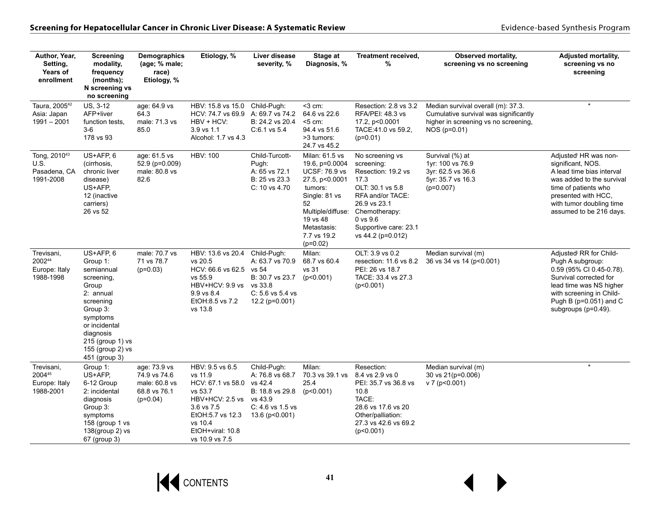| Author, Year,<br>Setting,<br>Years of<br>enrollment           | <b>Screening</b><br>modality,<br>frequency<br>(months);<br>N screening vs<br>no screening                                                                                                           | <b>Demographics</b><br>(age; % male;<br>race)<br>Etiology, %                | Etiology, %                                                                                                                                                       | Liver disease<br>severity, %                                                                                          | Stage at<br>Diagnosis, %                                                                                                                                                                  | Treatment received,<br>$\%$                                                                                                                                                                        | Observed mortality,<br>screening vs no screening                                                                                      | <b>Adjusted mortality,</b><br>screening vs no<br>screening                                                                                                                                                            |
|---------------------------------------------------------------|-----------------------------------------------------------------------------------------------------------------------------------------------------------------------------------------------------|-----------------------------------------------------------------------------|-------------------------------------------------------------------------------------------------------------------------------------------------------------------|-----------------------------------------------------------------------------------------------------------------------|-------------------------------------------------------------------------------------------------------------------------------------------------------------------------------------------|----------------------------------------------------------------------------------------------------------------------------------------------------------------------------------------------------|---------------------------------------------------------------------------------------------------------------------------------------|-----------------------------------------------------------------------------------------------------------------------------------------------------------------------------------------------------------------------|
| Taura, 2005 <sup>42</sup><br>Asia: Japan<br>$1991 - 2001$     | US, 3-12<br>AFP+liver<br>function tests.<br>$3-6$<br>178 vs 93                                                                                                                                      | age: 64.9 vs<br>64.3<br>male: 71.3 vs<br>85.0                               | HBV: 15.8 vs 15.0<br>HCV: 74.7 vs 69.9<br>HBV + HCV:<br>3.9 vs 1.1<br>Alcohol: 1.7 vs 4.3                                                                         | Child-Pugh:<br>A: 69.7 vs 74.2<br>B: 24.2 vs 20.4<br>$C:6.1$ vs 5.4                                                   | <3 cm:<br>64.6 vs 22.6<br>$5$ cm:<br>94.4 vs 51.6<br>>3 tumors:<br>24.7 vs 45.2                                                                                                           | Resection: 2.8 vs 3.2<br>RFA/PEI: 48.3 vs<br>17.2, p<0.0001<br>TACE:41.0 vs 59.2,<br>$(p=0.01)$                                                                                                    | Median survival overall (m): 37.3.<br>Cumulative survival was significantly<br>higher in screening vs no screening,<br>$NOS (p=0.01)$ | $\star$                                                                                                                                                                                                               |
| Tong, 2010 <sup>43</sup><br>U.S.<br>Pasadena, CA<br>1991-2008 | US+AFP, 6<br>(cirrhosis,<br>chronic liver<br>disease)<br>US+AFP,<br>12 (inactive<br>carriers)<br>26 vs 52                                                                                           | age: 61.5 vs<br>52.9 (p=0.009)<br>male: 80.8 vs<br>82.6                     | <b>HBV: 100</b>                                                                                                                                                   | Child-Turcott-<br>Pugh:<br>A: 65 vs 72.1<br>B: 25 vs 23.3<br>$C: 10$ vs 4.70                                          | Milan: 61.5 vs<br>19.6, p=0.0004<br><b>UCSF: 76.9 vs</b><br>27.5, p<0.0001<br>tumors:<br>Single: 81 vs<br>52<br>Multiple/diffuse:<br>19 vs 48<br>Metastasis:<br>7.7 vs 19.2<br>$(p=0.02)$ | No screening vs<br>screening:<br>Resection: 19.2 vs<br>17.3<br>OLT: 30.1 vs 5.8<br>RFA and/or TACE:<br>26.9 vs 23.1<br>Chemotherapy:<br>$0$ vs $9.6$<br>Supportive care: 23.1<br>vs 44.2 (p=0.012) | Survival (%) at<br>1yr: 100 vs 76.9<br>3yr: 62.5 vs 36.6<br>5yr: 35.7 vs 16.3<br>$(p=0.007)$                                          | Adjusted HR was non-<br>significant, NOS.<br>A lead time bias interval<br>was added to the survival<br>time of patients who<br>presented with HCC.<br>with tumor doubling time<br>assumed to be 216 days.             |
| Trevisani,<br>200244<br>Europe: Italy<br>1988-1998            | US+AFP, 6<br>Group 1:<br>semiannual<br>screening,<br>Group<br>2: annual<br>screening<br>Group 3:<br>symptoms<br>or incidental<br>diagnosis<br>215 (group 1) vs<br>155 (group 2) vs<br>451 (group 3) | male: 70.7 vs<br>71 vs 78.7<br>$(p=0.03)$                                   | HBV: 13.6 vs 20.4<br>vs 20.5<br>HCV: 66.6 vs 62.5<br>vs 55.9<br>HBV+HCV: 9.9 vs vs 33.8<br>9.9 vs 8.4<br>EtOH:8.5 vs 7.2<br>vs 13.8                               | Child-Pugh:<br>A: 63.7 vs 70.9<br>vs 54<br>B: 30.7 vs 23.7<br>$C: 5.6$ vs $5.4$ vs<br>$12.2$ (p=0.001)                | Milan:<br>68.7 vs 60.4<br>vs 31<br>(p<0.001)                                                                                                                                              | OLT: 3.9 vs 0.2<br>resection: 11.6 vs 8.2<br>PEI: 26 vs 18.7<br>TACE: 33.4 vs 27.3<br>(p<0.001)                                                                                                    | Median survival (m)<br>36 vs 34 vs 14 (p<0.001)                                                                                       | Adjusted <sup>j</sup> RR for Child-<br>Pugh A subgroup:<br>0.59 (95% CI 0.45-0.78).<br>Survival corrected for<br>lead time was NS higher<br>with screening in Child-<br>Pugh B (p=0.051) and C<br>subgroups (p=0.49). |
| Trevisani.<br>200445<br>Europe: Italy<br>1988-2001            | Group 1:<br>US+AFP,<br>6-12 Group<br>2: incidental<br>diagnosis<br>Group 3:<br>symptoms<br>158 (group 1 vs<br>138(group 2) vs<br>67 (group 3)                                                       | age: 73.9 vs<br>74.9 vs 74.6<br>male: 60.8 vs<br>68.8 vs 76.1<br>$(p=0.04)$ | HBV: 9.5 vs 6.5<br>vs 11.9<br>HCV: 67.1 vs 58.0<br>vs 53.7<br>HBV+HCV: 2.5 vs<br>3.6 vs 7.5<br>EtOH: 5.7 vs 12.3<br>vs 10.4<br>EtOH+viral: 10.8<br>vs 10.9 vs 7.5 | Child-Pugh:<br>A: 76.8 vs 68.7<br>vs 42.4<br>B: 18.8 vs 29.8<br>vs 43.9<br>$C: 4.6$ vs $1.5$ vs<br>$13.6$ (p < 0.001) | Milan:<br>70.3 vs 39.1 vs<br>25.4<br>(p<0.001)                                                                                                                                            | Resection:<br>8.4 vs 2.9 vs 0<br>PEI: 35.7 vs 36.8 vs<br>10.8<br>TACE:<br>28.6 vs 17.6 vs 20<br>Other/palliation:<br>27.3 vs 42.6 vs 69.2<br>(p<0.001)                                             | Median survival (m)<br>30 vs 21(p=0.006)<br>v 7 (p<0.001)                                                                             | $\star$                                                                                                                                                                                                               |

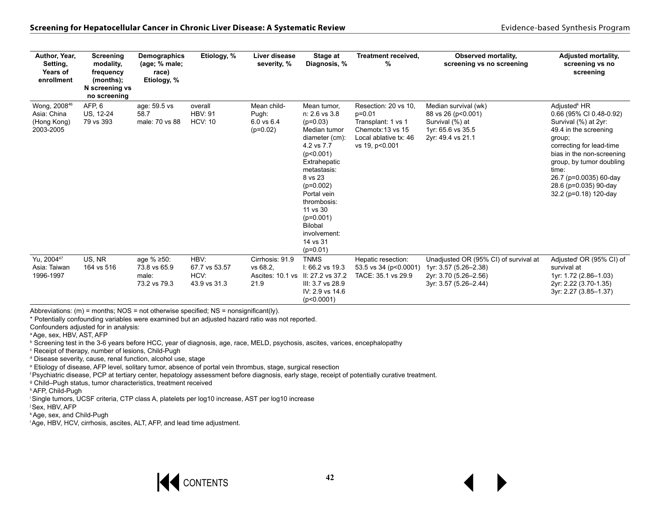| Author, Year,<br>Setting,<br>Years of<br>enrollment                 | Screening<br>modality.<br>frequency<br>(months);<br>N screening vs<br>no screening | <b>Demographics</b><br>(age; % male;<br>race)<br>Etiology, % | Etiology, %                                   | Liver disease<br>severity, %                            | Stage at<br>Diagnosis, %                                                                                                                                                                                                                                                       | Treatment received,<br>%                                                                                               | <b>Observed mortality,</b><br>screening vs no screening                                                          | <b>Adjusted mortality,</b><br>screening vs no<br>screening                                                                                                                                                                                                                               |
|---------------------------------------------------------------------|------------------------------------------------------------------------------------|--------------------------------------------------------------|-----------------------------------------------|---------------------------------------------------------|--------------------------------------------------------------------------------------------------------------------------------------------------------------------------------------------------------------------------------------------------------------------------------|------------------------------------------------------------------------------------------------------------------------|------------------------------------------------------------------------------------------------------------------|------------------------------------------------------------------------------------------------------------------------------------------------------------------------------------------------------------------------------------------------------------------------------------------|
| Wong, 2008 <sup>46</sup><br>Asia: China<br>(Hong Kong)<br>2003-2005 | AFP, 6<br>US, 12-24<br>79 vs 393                                                   | age: 59.5 vs<br>58.7<br>male: 70 vs 88                       | overall<br><b>HBV: 91</b><br><b>HCV: 10</b>   | Mean child-<br>Pugh:<br>$6.0$ vs $6.4$<br>$(p=0.02)$    | Mean tumor.<br>n: 2.6 vs 3.8<br>$(p=0.03)$<br>Median tumor<br>diameter (cm):<br>4.2 vs 7.7<br>(p<0.001)<br>Extrahepatic<br>metastasis:<br>8 vs 23<br>$(p=0.002)$<br>Portal vein<br>thrombosis:<br>11 vs 30<br>$(p=0.001)$<br>Bilobal<br>involvement:<br>14 vs 31<br>$(p=0.01)$ | Resection: 20 vs 10.<br>$p=0.01$<br>Transplant: 1 vs 1<br>Chemotx: 13 vs 15<br>Local ablative tx: 46<br>vs 19, p<0.001 | Median survival (wk)<br>88 vs 26 (p<0.001)<br>Survival (%) at<br>1yr: 65.6 vs 35.5<br>2yr: 49.4 vs 21.1          | Adjusted <sup>k</sup> HR<br>0.66 (95% CI 0.48-0.92)<br>Survival (%) at 2yr:<br>49.4 in the screening<br>group;<br>correcting for lead-time<br>bias in the non-screening<br>group, by tumor doubling<br>time:<br>26.7 (p=0.0035) 60-day<br>28.6 (p=0.035) 90-day<br>32.2 (p=0.18) 120-day |
| Yu, 2004 <sup>47</sup><br>Asia: Taiwan<br>1996-1997                 | US. NR<br>164 vs 516                                                               | age % ≥50:<br>73.8 vs 65.9<br>male:<br>73.2 vs 79.3          | HBV:<br>67.7 vs 53.57<br>HCV:<br>43.9 vs 31.3 | Cirrhosis: 91.9<br>vs 68.2.<br>Ascites: 10.1 vs<br>21.9 | <b>TNMS</b><br>$1:66.2$ vs 19.3<br>II: 27.2 vs 37.2<br>III: 3.7 vs 28.9<br>IV: 2.9 vs 14.6<br>(p<0.0001)                                                                                                                                                                       | Hepatic resection:<br>53.5 vs 34 (p<0.0001)<br>TACE: 35.1 vs 29.9                                                      | Unadjusted OR (95% CI) of survival at<br>1yr: 3.57 (5.26-2.38)<br>2yr: 3.70 (5.26-2.56)<br>3yr: 3.57 (5.26-2.44) | Adjusted OR (95% CI) of<br>survival at<br>1yr: 1.72 (2.86-1.03)<br>2yr: 2.22 (3.70-1.35)<br>3yr: 2.27 (3.85-1.37)                                                                                                                                                                        |

Abbreviations:  $(m)$  = months; NOS = not otherwise specified; NS = nonsignificant(ly).

\* Potentially confounding variables were examined but an adjusted hazard ratio was not reported.

Confounders adjusted for in analysis:

a Age, sex, HBV, AST, AFP

**b Screening test in the 3-6 years before HCC, year of diagnosis, age, race, MELD, psychosis, ascites, varices, encephalopathy** 

c Receipt of therapy, number of lesions, Child-Pugh

d Disease severity, cause, renal function, alcohol use, stage

e Etiology of disease, AFP level, solitary tumor, absence of portal vein thrombus, stage, surgical resection

f Psychiatric disease, PCP at tertiary center, hepatology assessment before diagnosis, early stage, receipt of potentially curative treatment.

<sup>9</sup> Child–Pugh status, tumor characteristics, treatment received

h AFP, Child-Pugh

i Single tumors, UCSF criteria, CTP class A, platelets per log10 increase, AST per log10 increase

j Sex, HBV, AFP

k Age, sex, and Child-Pugh

l Age, HBV, HCV, cirrhosis, ascites, ALT, AFP, and lead time adjustment.

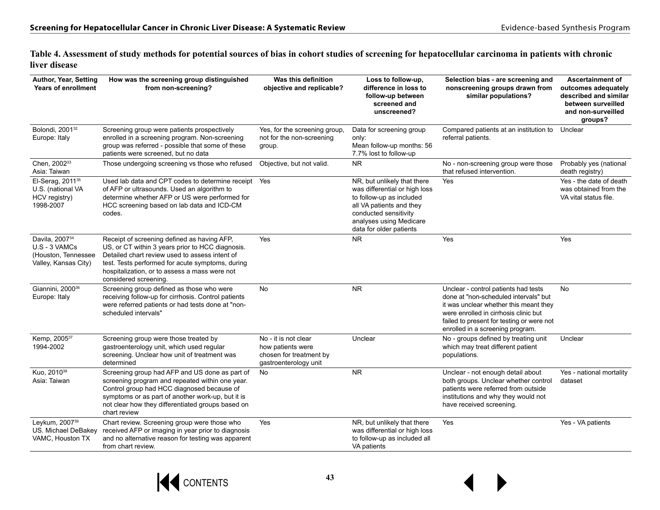**Table 4. Assessment of study methods for potential sources of bias in cohort studies of screening for hepatocellular carcinoma in patients with chronic liver disease**

| Author, Year, Setting<br><b>Years of enrollment</b>                                          | How was the screening group distinguished<br>from non-screening?                                                                                                                                                                                                                | Was this definition<br>objective and replicable?                                              | Loss to follow-up,<br>difference in loss to<br>follow-up between<br>screened and<br>unscreened?                                                                                                     | Selection bias - are screening and<br>nonscreening groups drawn from<br>similar populations?                                                                                                                                                      | <b>Ascertainment of</b><br>outcomes adequately<br>described and similar<br>between surveilled<br>and non-surveilled<br>groups? |
|----------------------------------------------------------------------------------------------|---------------------------------------------------------------------------------------------------------------------------------------------------------------------------------------------------------------------------------------------------------------------------------|-----------------------------------------------------------------------------------------------|-----------------------------------------------------------------------------------------------------------------------------------------------------------------------------------------------------|---------------------------------------------------------------------------------------------------------------------------------------------------------------------------------------------------------------------------------------------------|--------------------------------------------------------------------------------------------------------------------------------|
| Bolondi, 2001 <sup>32</sup><br>Europe: Italy                                                 | Screening group were patients prospectively<br>enrolled in a screening program. Non-screening<br>group was referred - possible that some of these<br>patients were screened, but no data                                                                                        | Yes, for the screening group,<br>not for the non-screening<br>group.                          | Data for screening group<br>only:<br>Mean follow-up months: 56<br>7.7% lost to follow-up                                                                                                            | Compared patients at an institution to<br>referral patients.                                                                                                                                                                                      | Unclear                                                                                                                        |
| Chen, 200233<br>Asia: Taiwan                                                                 | Those undergoing screening vs those who refused                                                                                                                                                                                                                                 | Objective, but not valid.                                                                     | <b>NR</b>                                                                                                                                                                                           | No - non-screening group were those<br>that refused intervention.                                                                                                                                                                                 | Probably yes (national<br>death registry)                                                                                      |
| El-Serag, 2011 <sup>35</sup><br>U.S. (national VA<br>HCV registry)<br>1998-2007              | Used lab data and CPT codes to determine receipt<br>of AFP or ultrasounds. Used an algorithm to<br>determine whether AFP or US were performed for<br>HCC screening based on lab data and ICD-CM<br>codes.                                                                       | Yes                                                                                           | NR, but unlikely that there<br>was differential or high loss<br>to follow-up as included<br>all VA patients and they<br>conducted sensitivity<br>analyses using Medicare<br>data for older patients | Yes                                                                                                                                                                                                                                               | Yes - the date of death<br>was obtained from the<br>VA vital status file.                                                      |
| Davila, 2007 <sup>34</sup><br>$U.S - 3$ VAMCs<br>(Houston, Tennessee<br>Valley, Kansas City) | Receipt of screening defined as having AFP,<br>US, or CT within 3 years prior to HCC diagnosis.<br>Detailed chart review used to assess intent of<br>test. Tests performed for acute symptoms, during<br>hospitalization, or to assess a mass were not<br>considered screening. | Yes                                                                                           | <b>NR</b>                                                                                                                                                                                           | Yes                                                                                                                                                                                                                                               | Yes                                                                                                                            |
| Giannini, 2000 <sup>36</sup><br>Europe: Italy                                                | Screening group defined as those who were<br>receiving follow-up for cirrhosis. Control patients<br>were referred patients or had tests done at "non-<br>scheduled intervals"                                                                                                   | <b>No</b>                                                                                     | <b>NR</b>                                                                                                                                                                                           | Unclear - control patients had tests<br>done at "non-scheduled intervals" but<br>it was unclear whether this meant they<br>were enrolled in cirrhosis clinic but<br>failed to present for testing or were not<br>enrolled in a screening program. | No                                                                                                                             |
| Kemp, 200537<br>1994-2002                                                                    | Screening group were those treated by<br>gastroenterology unit, which used regular<br>screening. Unclear how unit of treatment was<br>determined                                                                                                                                | No - it is not clear<br>how patients were<br>chosen for treatment by<br>gastroenterology unit | Unclear                                                                                                                                                                                             | No - groups defined by treating unit<br>which may treat different patient<br>populations.                                                                                                                                                         | Unclear                                                                                                                        |
| Kuo, 2010 <sup>38</sup><br>Asia: Taiwan                                                      | Screening group had AFP and US done as part of<br>screening program and repeated within one year.<br>Control group had HCC diagnosed because of<br>symptoms or as part of another work-up, but it is<br>not clear how they differentiated groups based on<br>chart review       | No.                                                                                           | <b>NR</b>                                                                                                                                                                                           | Unclear - not enough detail about<br>both groups. Unclear whether control<br>patients were referred from outside<br>institutions and why they would not<br>have received screening.                                                               | Yes - national mortality<br>dataset                                                                                            |
| Leykum, 2007 <sup>39</sup><br>US. Michael DeBakey<br>VAMC, Houston TX                        | Chart review. Screening group were those who<br>received AFP or imaging in year prior to diagnosis<br>and no alternative reason for testing was apparent<br>from chart review.                                                                                                  | Yes                                                                                           | NR, but unlikely that there<br>was differential or high loss<br>to follow-up as included all<br>VA patients                                                                                         | Yes                                                                                                                                                                                                                                               | Yes - VA patients                                                                                                              |

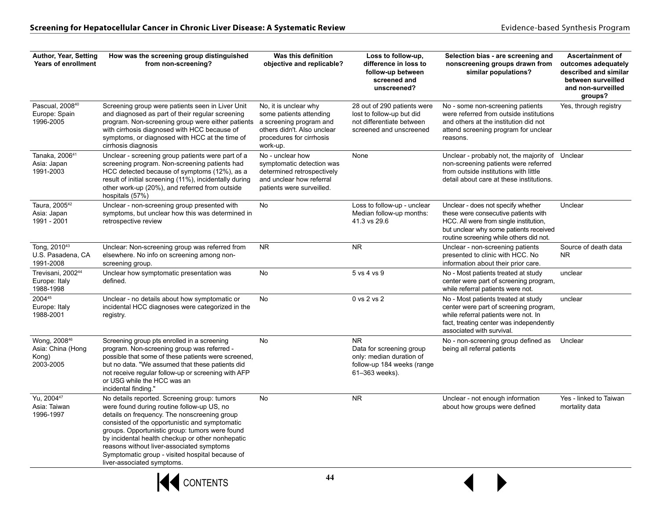| Author, Year, Setting<br><b>Years of enrollment</b>         | How was the screening group distinguished<br>from non-screening?                                                                                                                                                                                                                                                                                                                                                                 | Was this definition<br>objective and replicable?                                                                                                   | Loss to follow-up,<br>difference in loss to<br>follow-up between<br>screened and<br>unscreened?                   | Selection bias - are screening and<br>nonscreening groups drawn from<br>similar populations?                                                                                                              | <b>Ascertainment of</b><br>outcomes adequately<br>described and similar<br>between surveilled<br>and non-surveilled<br>groups? |
|-------------------------------------------------------------|----------------------------------------------------------------------------------------------------------------------------------------------------------------------------------------------------------------------------------------------------------------------------------------------------------------------------------------------------------------------------------------------------------------------------------|----------------------------------------------------------------------------------------------------------------------------------------------------|-------------------------------------------------------------------------------------------------------------------|-----------------------------------------------------------------------------------------------------------------------------------------------------------------------------------------------------------|--------------------------------------------------------------------------------------------------------------------------------|
| Pascual, 2008 <sup>40</sup><br>Europe: Spain<br>1996-2005   | Screening group were patients seen in Liver Unit<br>and diagnosed as part of their regular screening<br>program. Non-screening group were either patients<br>with cirrhosis diagnosed with HCC because of<br>symptoms, or diagnosed with HCC at the time of<br>cirrhosis diagnosis                                                                                                                                               | No, it is unclear why<br>some patients attending<br>a screening program and<br>others didn't. Also unclear<br>procedures for cirrhosis<br>work-up. | 28 out of 290 patients were<br>lost to follow-up but did<br>not differentiate between<br>screened and unscreened  | No - some non-screening patients<br>were referred from outside institutions<br>and others at the institution did not<br>attend screening program for unclear<br>reasons.                                  | Yes, through registry                                                                                                          |
| Tanaka, 2006 <sup>41</sup><br>Asia: Japan<br>1991-2003      | Unclear - screening group patients were part of a<br>screening program. Non-screening patients had<br>HCC detected because of symptoms (12%), as a<br>result of initial screening (11%), incidentally during<br>other work-up (20%), and referred from outside<br>hospitals (57%)                                                                                                                                                | No - unclear how<br>symptomatic detection was<br>determined retrospectively<br>and unclear how referral<br>patients were surveilled.               | None                                                                                                              | Unclear - probably not, the majority of Unclear<br>non-screening patients were referred<br>from outside institutions with little<br>detail about care at these institutions.                              |                                                                                                                                |
| Taura, 2005 <sup>42</sup><br>Asia: Japan<br>1991 - 2001     | Unclear - non-screening group presented with<br>symptoms, but unclear how this was determined in<br>retrospective review                                                                                                                                                                                                                                                                                                         | No                                                                                                                                                 | Loss to follow-up - unclear<br>Median follow-up months:<br>41.3 vs 29.6                                           | Unclear - does not specify whether<br>these were consecutive patients with<br>HCC. All were from single institution,<br>but unclear why some patients received<br>routine screening while others did not. | Unclear                                                                                                                        |
| Tong, 2010 <sup>43</sup><br>U.S. Pasadena, CA<br>1991-2008  | Unclear: Non-screening group was referred from<br>elsewhere. No info on screening among non-<br>screening group.                                                                                                                                                                                                                                                                                                                 | NR.                                                                                                                                                | <b>NR</b>                                                                                                         | Unclear - non-screening patients<br>presented to clinic with HCC. No<br>information about their prior care.                                                                                               | Source of death data<br>N <sub>R</sub>                                                                                         |
| Trevisani, 2002 <sup>44</sup><br>Europe: Italy<br>1988-1998 | Unclear how symptomatic presentation was<br>defined.                                                                                                                                                                                                                                                                                                                                                                             | No                                                                                                                                                 | 5 vs 4 vs 9                                                                                                       | No - Most patients treated at study<br>center were part of screening program,<br>while referral patients were not.                                                                                        | unclear                                                                                                                        |
| 200445<br>Europe: Italy<br>1988-2001                        | Unclear - no details about how symptomatic or<br>incidental HCC diagnoses were categorized in the<br>registry.                                                                                                                                                                                                                                                                                                                   | No                                                                                                                                                 | 0 vs 2 vs 2                                                                                                       | No - Most patients treated at study<br>center were part of screening program,<br>while referral patients were not. In<br>fact, treating center was independently<br>associated with survival.             | unclear                                                                                                                        |
| Wong, 200846<br>Asia: China (Hong<br>Kong)<br>2003-2005     | Screening group pts enrolled in a screening<br>program. Non-screening group was referred -<br>possible that some of these patients were screened,<br>but no data. "We assumed that these patients did<br>not receive regular follow-up or screening with AFP<br>or USG while the HCC was an<br>incidental finding."                                                                                                              | No                                                                                                                                                 | <b>NR</b><br>Data for screening group<br>only: median duration of<br>follow-up 184 weeks (range<br>61-363 weeks). | No - non-screening group defined as<br>being all referral patients                                                                                                                                        | Unclear                                                                                                                        |
| Yu, 2004 <sup>47</sup><br>Asia: Taiwan<br>1996-1997         | No details reported. Screening group: tumors<br>were found during routine follow-up US, no<br>details on frequency. The nonscreening group<br>consisted of the opportunistic and symptomatic<br>groups. Opportunistic group: tumors were found<br>by incidental health checkup or other nonhepatic<br>reasons without liver-associated symptoms<br>Symptomatic group - visited hospital because of<br>liver-associated symptoms. | No                                                                                                                                                 | NR.                                                                                                               | Unclear - not enough information<br>about how groups were defined                                                                                                                                         | Yes - linked to Taiwan<br>mortality data                                                                                       |

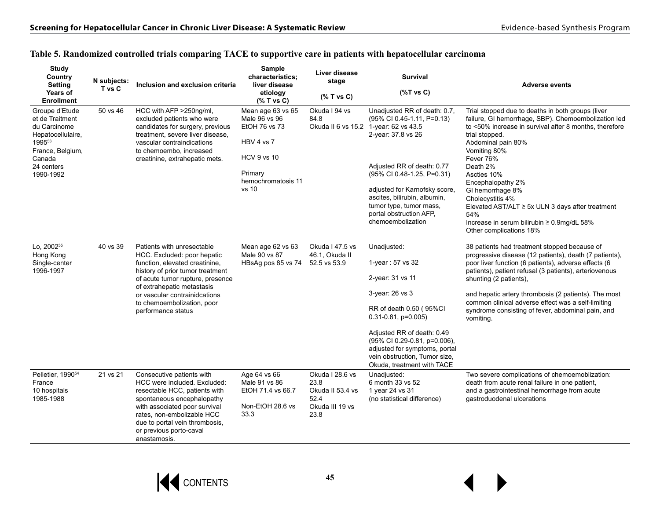| <b>Study</b><br>Country<br><b>Setting</b><br>Years of<br><b>Enrollment</b>                                                                | N subjects:<br>T vs C | Inclusion and exclusion criteria                                                                                                                                                                                                                                                       | <b>Sample</b><br>characteristics;<br>liver disease<br>etiology<br>$(%$ T vs C)                                                      | Liver disease<br>stage<br>$(%$ (% T vs C)                                      | <b>Survival</b><br>$(%$ (%T vs C)                                                                                                                                                                                                                                                                                                 | <b>Adverse events</b>                                                                                                                                                                                                                                                                                                                                                                                                                                                          |
|-------------------------------------------------------------------------------------------------------------------------------------------|-----------------------|----------------------------------------------------------------------------------------------------------------------------------------------------------------------------------------------------------------------------------------------------------------------------------------|-------------------------------------------------------------------------------------------------------------------------------------|--------------------------------------------------------------------------------|-----------------------------------------------------------------------------------------------------------------------------------------------------------------------------------------------------------------------------------------------------------------------------------------------------------------------------------|--------------------------------------------------------------------------------------------------------------------------------------------------------------------------------------------------------------------------------------------------------------------------------------------------------------------------------------------------------------------------------------------------------------------------------------------------------------------------------|
| Groupe d'Etude<br>et de Traitment<br>du Carcinome<br>Hepatocellulaire,<br>199553<br>France, Belgium,<br>Canada<br>24 centers<br>1990-1992 | 50 vs 46              | HCC with AFP >250ng/ml,<br>excluded patients who were<br>candidates for surgery, previous<br>treatment, severe liver disease,<br>vascular contraindications<br>to chemoembo, increased<br>creatinine, extrahepatic mets.                                                               | Mean age 63 vs 65<br>Male 96 vs 96<br>EtOH 76 vs 73<br>HBV 4 vs 7<br><b>HCV 9 vs 10</b><br>Primary<br>hemochromatosis 11<br>$vs$ 10 | Okuda I 94 vs<br>84.8                                                          | Unadjusted RR of death: 0.7.<br>(95% CI 0.45-1.11, P=0.13)<br>Okuda II 6 vs 15.2 1-year: 62 vs 43.5<br>2-year: 37.8 vs 26<br>Adjusted RR of death: 0.77<br>(95% CI 0.48-1.25, P=0.31)<br>adjusted for Karnofsky score,<br>ascites, bilirubin, albumin,<br>tumor type, tumor mass,<br>portal obstruction AFP,<br>chemoembolization | Trial stopped due to deaths in both groups (liver<br>failure, GI hemorrhage, SBP). Chemoembolization led<br>to <50% increase in survival after 8 months, therefore<br>trial stopped.<br>Abdominal pain 80%<br>Vomiting 80%<br>Fever 76%<br>Death 2%<br>Ascties 10%<br>Encephalopathy 2%<br>GI hemorrhage 8%<br>Cholecystitis 4%<br>Elevated AST/ALT $\geq$ 5x ULN 3 days after treatment<br>54%<br>Increase in serum bilirubin $\geq 0.9$ mg/dL 58%<br>Other complications 18% |
| Lo, 2002 <sup>55</sup><br>Hong Kong<br>Single-center<br>1996-1997                                                                         | 40 vs 39              | Patients with unresectable<br>HCC. Excluded: poor hepatic<br>function, elevated creatinine,<br>history of prior tumor treatment<br>of acute tumor rupture, presence<br>of extrahepatic metastasis<br>or vascular contrainidcations<br>to chemoembolization, poor<br>performance status | Mean age 62 vs 63<br>Male 90 vs 87<br>HBsAg pos 85 vs 74                                                                            | Okuda I 47.5 vs<br>46.1. Okuda II<br>52.5 vs 53.9                              | Unadjusted:<br>1-year: $57$ vs 32<br>2-year: 31 vs 11<br>3-year: 26 vs 3<br>RR of death 0.50 (95%CI<br>$0.31 - 0.81$ , p=0.005)<br>Adjusted RR of death: 0.49<br>(95% CI 0.29-0.81, p=0.006),<br>adjusted for symptoms, portal<br>vein obstruction, Tumor size,<br>Okuda, treatment with TACE                                     | 38 patients had treatment stopped because of<br>progressive disease (12 patients), death (7 patients),<br>poor liver function (6 patients), adverse effects (6<br>patients), patient refusal (3 patients), arteriovenous<br>shunting (2 patients),<br>and hepatic artery thrombosis (2 patients). The most<br>common clinical adverse effect was a self-limiting<br>syndrome consisting of fever, abdominal pain, and<br>vomiting.                                             |
| Pelletier, 1990 <sup>54</sup><br>France<br>10 hospitals<br>1985-1988                                                                      | 21 vs 21              | Consecutive patients with<br>HCC were included. Excluded:<br>resectable HCC, patients with<br>spontaneous encephalopathy<br>with associated poor survival<br>rates, non-embolizable HCC<br>due to portal vein thrombosis,<br>or previous porto-caval<br>anastamosis.                   | Age 64 vs 66<br>Male 91 vs 86<br>EtOH 71.4 vs 66.7<br>Non-EtOH 28.6 vs<br>33.3                                                      | Okuda I 28.6 vs<br>23.8<br>Okuda II 53.4 vs<br>52.4<br>Okuda III 19 vs<br>23.8 | Unadjusted:<br>6 month 33 vs 52<br>1 year 24 vs 31<br>(no statistical difference)                                                                                                                                                                                                                                                 | Two severe complications of chemoemoblization:<br>death from acute renal failure in one patient,<br>and a gastrointestinal hemorrhage from acute<br>gastroduodenal ulcerations                                                                                                                                                                                                                                                                                                 |

#### **Table 5. Randomized controlled trials comparing TACE to supportive care in patients with hepatocellular carcinoma**

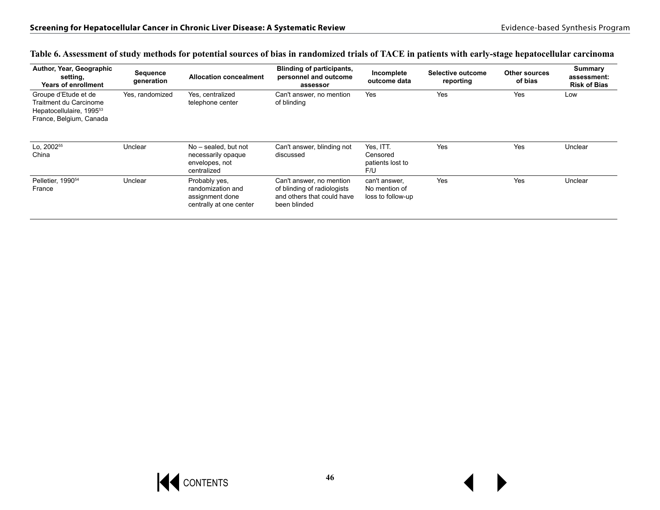| Author, Year, Geographic<br>setting,<br><b>Years of enrollment</b>                                                | Sequence<br>generation | <b>Allocation concealment</b>                                                    | <b>Blinding of participants,</b><br>personnel and outcome<br>assessor                                 | Incomplete<br>outcome data                          | Selective outcome<br>reporting | <b>Other sources</b><br>of bias | Summary<br>assessment:<br><b>Risk of Bias</b> |
|-------------------------------------------------------------------------------------------------------------------|------------------------|----------------------------------------------------------------------------------|-------------------------------------------------------------------------------------------------------|-----------------------------------------------------|--------------------------------|---------------------------------|-----------------------------------------------|
| Groupe d'Etude et de<br>Traitment du Carcinome<br>Hepatocellulaire, 1995 <sup>53</sup><br>France, Belgium, Canada | Yes. randomized        | Yes. centralized<br>telephone center                                             | Can't answer, no mention<br>of blinding                                                               | Yes                                                 | Yes                            | Yes                             | Low                                           |
| Lo. 2002 <sup>55</sup><br>China                                                                                   | Unclear                | No - sealed, but not<br>necessarily opaque<br>envelopes, not<br>centralized      | Can't answer, blinding not<br>discussed                                                               | Yes, ITT.<br>Censored<br>patients lost to<br>F/U    | Yes                            | Yes                             | Unclear                                       |
| Pelletier, 1990 <sup>54</sup><br>France                                                                           | Unclear                | Probably yes,<br>randomization and<br>assignment done<br>centrally at one center | Can't answer, no mention<br>of blinding of radiologists<br>and others that could have<br>been blinded | can't answer.<br>No mention of<br>loss to follow-up | Yes                            | Yes                             | Unclear                                       |

#### **Table 6. Assessment of study methods for potential sources of bias in randomized trials of TACE in patients with early-stage hepatocellular carcinoma**

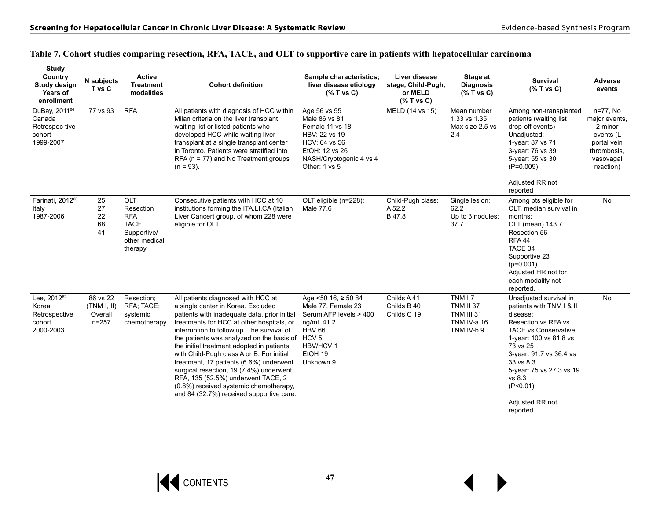### **Table 7. Cohort studies comparing resection, RFA, TACE, and OLT to supportive care in patients with hepatocellular carcinoma**

| <b>Study</b><br>Country<br>Study design<br>Years of<br>enrollment | N subjects<br>T vs C                            | Active<br><b>Treatment</b><br>modalities                                                        | <b>Cohort definition</b>                                                                                                                                                                                                                                                                                                                                                                                                                                                                                                                                                           | Sample characteristics:<br>liver disease etiology<br>$(%$ T vs C)                                                                                | Liver disease<br>stage, Child-Pugh,<br>or MELD<br>$(%$ T vs C) | Stage at<br><b>Diagnosis</b><br>$(%$ T vs C)                                         | <b>Survival</b><br>$(%$ T vs C)                                                                                                                                                                                                                                                      | <b>Adverse</b><br>events                                                                                  |
|-------------------------------------------------------------------|-------------------------------------------------|-------------------------------------------------------------------------------------------------|------------------------------------------------------------------------------------------------------------------------------------------------------------------------------------------------------------------------------------------------------------------------------------------------------------------------------------------------------------------------------------------------------------------------------------------------------------------------------------------------------------------------------------------------------------------------------------|--------------------------------------------------------------------------------------------------------------------------------------------------|----------------------------------------------------------------|--------------------------------------------------------------------------------------|--------------------------------------------------------------------------------------------------------------------------------------------------------------------------------------------------------------------------------------------------------------------------------------|-----------------------------------------------------------------------------------------------------------|
| DuBay, 201164<br>Canada<br>Retrospec-tive<br>cohort<br>1999-2007  | 77 vs 93                                        | <b>RFA</b>                                                                                      | All patients with diagnosis of HCC within<br>Milan criteria on the liver transplant<br>waiting list or listed patients who<br>developed HCC while waiting liver<br>transplant at a single transplant center<br>in Toronto. Patients were stratified into<br>$RFA$ (n = 77) and No Treatment groups<br>$(n = 93)$ .                                                                                                                                                                                                                                                                 | Age 56 vs 55<br>Male 86 vs 81<br>Female 11 vs 18<br>HBV: 22 vs 19<br>HCV: 64 vs 56<br>EtOH: 12 vs 26<br>NASH/Cryptogenic 4 vs 4<br>Other: 1 vs 5 | MELD (14 vs 15)                                                | Mean number<br>1.33 vs 1.35<br>Max size 2.5 vs<br>2.4                                | Among non-transplanted<br>patients (waiting list<br>drop-off events)<br>Unadjusted:<br>1-year: 87 vs 71<br>3-year: 76 vs 39<br>5-year: 55 vs 30<br>$(P=0.009)$                                                                                                                       | n=77, No<br>major events,<br>2 minor<br>events (L<br>portal vein<br>thrombosis.<br>vasovagal<br>reaction) |
|                                                                   |                                                 |                                                                                                 |                                                                                                                                                                                                                                                                                                                                                                                                                                                                                                                                                                                    |                                                                                                                                                  |                                                                |                                                                                      | Adjusted RR not<br>reported                                                                                                                                                                                                                                                          |                                                                                                           |
| Farinati, 2012 <sup>80</sup><br>Italy<br>1987-2006                | 25<br>27<br>22<br>68<br>41                      | <b>OLT</b><br>Resection<br><b>RFA</b><br><b>TACE</b><br>Supportive/<br>other medical<br>therapy | Consecutive patients with HCC at 10<br>institutions forming the ITA.LI.CA (Italian<br>Liver Cancer) group, of whom 228 were<br>eligible for OLT.                                                                                                                                                                                                                                                                                                                                                                                                                                   | OLT eligible (n=228):<br>Male 77.6                                                                                                               | Child-Pugh class:<br>A 52.2<br>B 47.8                          | Single lesion:<br>62.2<br>Up to 3 nodules:<br>37.7                                   | Among pts eligible for<br>OLT, median survival in<br>months:<br>OLT (mean) 143.7<br>Resection 56<br><b>RFA 44</b><br>TACE 34<br>Supportive 23<br>$(p=0.001)$<br>Adjusted HR not for<br>each modality not<br>reported.                                                                | <b>No</b>                                                                                                 |
| Lee, 201262<br>Korea<br>Retrospective<br>cohort<br>2000-2003      | 86 vs 22<br>(TNM I, II)<br>Overall<br>$n = 257$ | Resection;<br>RFA; TACE;<br>systemic<br>chemotherapy                                            | All patients diagnosed with HCC at<br>a single center in Korea. Excluded<br>patients with inadequate data, prior initial<br>treatments for HCC at other hospitals, or<br>interruption to follow up. The survival of<br>the patients was analyzed on the basis of HCV 5<br>the initial treatment adopted in patients<br>with Child-Pugh class A or B. For initial<br>treatment, 17 patients (6.6%) underwent<br>surgical resection, 19 (7.4%) underwent<br>RFA, 135 (52.5%) underwent TACE, 2<br>(0.8%) received systemic chemotherapy,<br>and 84 (32.7%) received supportive care. | Age $50$ 16, $\geq 50$ 84<br>Male 77, Female 23<br>Serum AFP levels > 400<br>ng/mL 41.2<br><b>HBV 66</b><br>HBV/HCV 1<br>EtOH 19<br>Unknown 9    | Childs A41<br>Childs B 40<br>Childs C 19                       | TNM I 7<br><b>TNM II 37</b><br><b>TNM III 31</b><br><b>TNM IV-a 16</b><br>TNM IV-b 9 | Unadjusted survival in<br>patients with TNM I & II<br>disease:<br>Resection vs RFA vs<br><b>TACE vs Conservative:</b><br>1-year: 100 vs 81.8 vs<br>73 vs 25<br>3-year: 91.7 vs 36.4 vs<br>33 vs 8.3<br>5-year: 75 vs 27.3 vs 19<br>vs 8.3<br>(P<0.01)<br>Adjusted RR not<br>reported | <b>No</b>                                                                                                 |

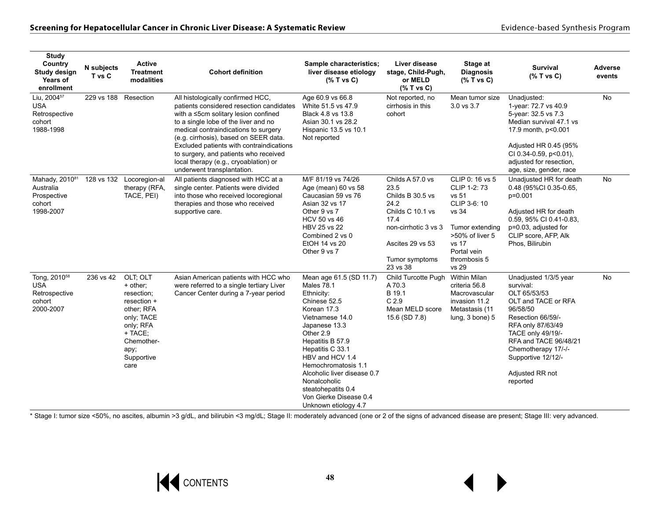| <b>Study</b><br>Country<br>Study design<br>Years of<br>enrollment              | N subjects<br>T vs C | <b>Active</b><br><b>Treatment</b><br>modalities                                                                                                   | <b>Cohort definition</b>                                                                                                                                                                                                                                                                                                                                                                                   | Sample characteristics:<br>liver disease etiology<br>$(%$ T vs C)                                                                                                                                                                                                                                                                                   | Liver disease<br>stage, Child-Pugh,<br>or MELD<br>$(%$ T vs C)                                                                                             | Stage at<br><b>Diagnosis</b><br>$(%$ (% T vs C)                                                                                                          | <b>Survival</b><br>$(%$ T vs C)                                                                                                                                                                                                                           | <b>Adverse</b><br>events |
|--------------------------------------------------------------------------------|----------------------|---------------------------------------------------------------------------------------------------------------------------------------------------|------------------------------------------------------------------------------------------------------------------------------------------------------------------------------------------------------------------------------------------------------------------------------------------------------------------------------------------------------------------------------------------------------------|-----------------------------------------------------------------------------------------------------------------------------------------------------------------------------------------------------------------------------------------------------------------------------------------------------------------------------------------------------|------------------------------------------------------------------------------------------------------------------------------------------------------------|----------------------------------------------------------------------------------------------------------------------------------------------------------|-----------------------------------------------------------------------------------------------------------------------------------------------------------------------------------------------------------------------------------------------------------|--------------------------|
| Liu, 2004 <sup>57</sup><br><b>USA</b><br>Retrospective<br>cohort<br>1988-1998  | 229 vs 188           | Resection                                                                                                                                         | All histologically confirmed HCC,<br>patients considered resection candidates<br>with a ≤5cm solitary lesion confined<br>to a single lobe of the liver and no<br>medical contraindications to surgery<br>(e.g. cirrhosis), based on SEER data.<br>Excluded patients with contraindications<br>to surgery, and patients who received<br>local therapy (e.g., cryoablation) or<br>underwent transplantation. | Age 60.9 vs 66.8<br>White 51.5 vs 47.9<br>Black 4.8 vs 13.8<br>Asian 30.1 vs 28.2<br>Hispanic 13.5 vs 10.1<br>Not reported                                                                                                                                                                                                                          | Not reported, no<br>cirrhosis in this<br>cohort                                                                                                            | Mean tumor size<br>3.0 vs 3.7                                                                                                                            | Unadjusted:<br>1-year: 72.7 vs 40.9<br>5-year: 32.5 vs 7.3<br>Median survival 47.1 vs<br>17.9 month, p<0.001<br>Adjusted HR 0.45 (95%<br>CI 0.34-0.59, p<0.01),<br>adjusted for resection.<br>age, size, gender, race                                     | No                       |
| Mahady, 201081<br>Australia<br>Prospective<br>cohort<br>1998-2007              | 128 vs 132           | Locoregion-al<br>therapy (RFA,<br>TACE, PEI)                                                                                                      | All patients diagnosed with HCC at a<br>single center. Patients were divided<br>into those who received locoregional<br>therapies and those who received<br>supportive care.                                                                                                                                                                                                                               | M/F 81/19 vs 74/26<br>Age (mean) 60 vs 58<br>Caucasian 59 vs 76<br>Asian 32 vs 17<br>Other 9 vs 7<br><b>HCV 50 vs 46</b><br>HBV 25 vs 22<br>Combined 2 vs 0<br>EtOH 14 vs 20<br>Other 9 vs 7                                                                                                                                                        | Childs A 57.0 vs<br>23.5<br>Childs B 30.5 vs<br>24.2<br>Childs C 10.1 vs<br>17.4<br>non-cirrhotic 3 vs 3<br>Ascites 29 vs 53<br>Tumor symptoms<br>23 vs 38 | CLIP 0: 16 vs 5<br>CLIP 1-2: 73<br>vs 51<br>CLIP 3-6: 10<br>vs 34<br>Tumor extending<br>>50% of liver 5<br>vs 17<br>Portal vein<br>thrombosis 5<br>vs 29 | Unadjusted HR for death<br>0.48 (95%Cl 0.35-0.65,<br>$p=0.001$<br>Adjusted HR for death<br>0.59, 95% CI 0.41-0.83,<br>p=0.03, adjusted for<br>CLIP score, AFP, Alk<br>Phos, Bilirubin                                                                     | No                       |
| Tong, 2010 <sup>58</sup><br><b>USA</b><br>Retrospective<br>cohort<br>2000-2007 | 236 vs 42            | OLT; OLT<br>+ other;<br>resection;<br>resection +<br>other; RFA<br>only; TACE<br>only; RFA<br>+ TACE;<br>Chemother-<br>ару;<br>Supportive<br>care | Asian American patients with HCC who<br>were referred to a single tertiary Liver<br>Cancer Center during a 7-year period                                                                                                                                                                                                                                                                                   | Mean age 61.5 (SD 11.7)<br><b>Males 78.1</b><br>Ethnicity:<br>Chinese 52.5<br>Korean 17.3<br>Vietnamese 14.0<br>Japanese 13.3<br>Other 2.9<br>Hepatitis B 57.9<br>Hepatitis C 33.1<br>HBV and HCV 1.4<br>Hemochromatosis 1.1<br>Alcoholic liver disease 0.7<br>Nonalcoholic<br>steatohepatits 0.4<br>Von Gierke Disease 0.4<br>Unknown etiology 4.7 | Child Turcotte Pugh<br>A 70.3<br>B 19.1<br>C <sub>2.9</sub><br>Mean MELD score<br>15.6 (SD 7.8)                                                            | Within Milan<br>criteria 56.8<br>Macrovascular<br>invasion 11.2<br>Metastasis (11<br>lung, 3 bone) 5                                                     | Unadjusted 1/3/5 year<br>survival:<br>OLT 65/53/53<br>OLT and TACE or RFA<br>96/58/50<br>Resection 66/59/-<br>RFA only 87/63/49<br>TACE only 49/19/-<br>RFA and TACE 96/48/21<br>Chemotherapy 17/-/-<br>Supportive 12/12/-<br>Adjusted RR not<br>reported | No                       |

\* Stage I: tumor size <50%, no ascites, albumin >3 g/dL, and bilirubin <3 mg/dL; Stage II: moderately advanced (one or 2 of the signs of advanced disease are present; Stage III: very advanced.

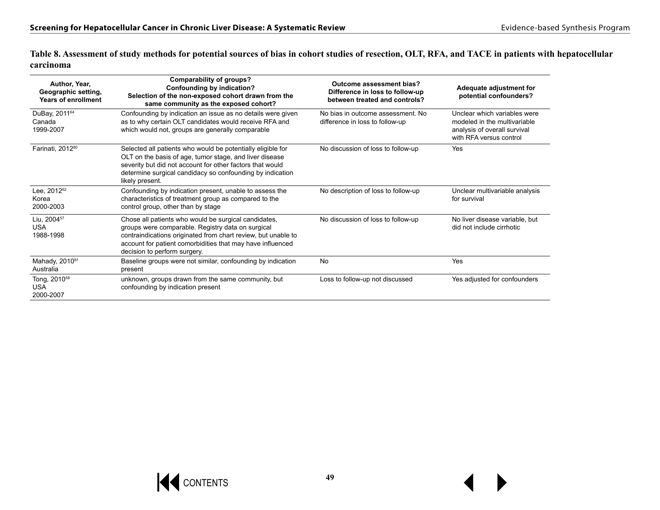**Table 8. Assessment of study methods for potential sources of bias in cohort studies of resection, OLT, RFA, and TACE in patients with hepatocellular carcinoma**

| Author, Year,<br>Geographic setting,<br><b>Years of enrollment</b> | <b>Comparability of groups?</b><br>Confounding by indication?<br>Selection of the non-exposed cohort drawn from the<br>same community as the exposed cohort?                                                                                                             | Outcome assessment bias?<br>Difference in loss to follow-up<br>between treated and controls? | Adequate adjustment for<br>potential confounders?                                                                       |
|--------------------------------------------------------------------|--------------------------------------------------------------------------------------------------------------------------------------------------------------------------------------------------------------------------------------------------------------------------|----------------------------------------------------------------------------------------------|-------------------------------------------------------------------------------------------------------------------------|
| DuBay, 2011 <sup>64</sup><br>Canada<br>1999-2007                   | Confounding by indication an issue as no details were given<br>as to why certain OLT candidates would receive RFA and<br>which would not, groups are generally comparable                                                                                                | No bias in outcome assessment. No<br>difference in loss to follow-up                         | Unclear which variables were<br>modeled in the multivariable<br>analysis of overall survival<br>with RFA versus control |
| Farinati, 2012 <sup>80</sup>                                       | Selected all patients who would be potentially eligible for<br>OLT on the basis of age, tumor stage, and liver disease<br>severity but did not account for other factors that would<br>determine surgical candidacy so confounding by indication<br>likely present.      | No discussion of loss to follow-up                                                           | Yes                                                                                                                     |
| Lee, 2012 <sup>62</sup><br>Korea<br>2000-2003                      | Confounding by indication present, unable to assess the<br>characteristics of treatment group as compared to the<br>control group, other than by stage                                                                                                                   | No description of loss to follow-up                                                          | Unclear multivariable analysis<br>for survival                                                                          |
| Liu, 2004 <sup>57</sup><br><b>USA</b><br>1988-1998                 | Chose all patients who would be surgical candidates,<br>groups were comparable. Registry data on surgical<br>contraindications originated from chart review, but unable to<br>account for patient comorbidities that may have influenced<br>decision to perform surgery. | No discussion of loss to follow-up                                                           | No liver disease variable, but<br>did not include cirrhotic                                                             |
| Mahady, 2010 <sup>81</sup><br>Australia                            | Baseline groups were not similar, confounding by indication<br>present                                                                                                                                                                                                   | <b>No</b>                                                                                    | Yes                                                                                                                     |
| Tong, 2010 <sup>58</sup><br><b>USA</b><br>2000-2007                | unknown, groups drawn from the same community, but<br>confounding by indication present                                                                                                                                                                                  | Loss to follow-up not discussed                                                              | Yes adjusted for confounders                                                                                            |

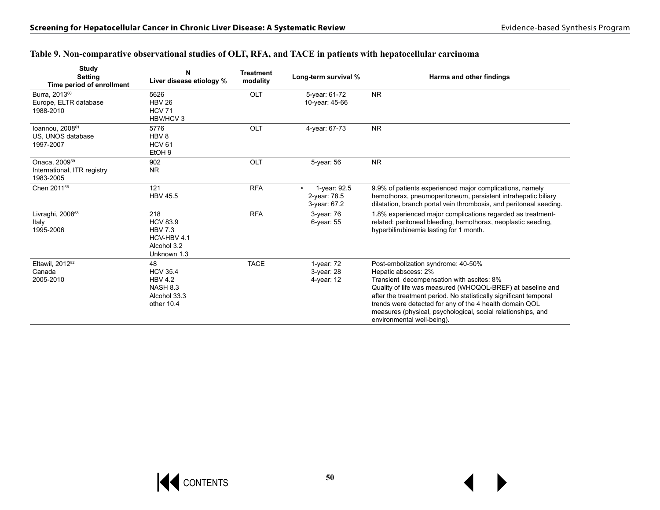| <b>Study</b><br><b>Setting</b><br>Time period of enrollment           | N<br>Liver disease etiology %                                                            | <b>Treatment</b><br>modality | Long-term survival %                         | Harms and other findings                                                                                                                                                                                                                                                                                                                                                                           |
|-----------------------------------------------------------------------|------------------------------------------------------------------------------------------|------------------------------|----------------------------------------------|----------------------------------------------------------------------------------------------------------------------------------------------------------------------------------------------------------------------------------------------------------------------------------------------------------------------------------------------------------------------------------------------------|
| Burra, 2013 <sup>60</sup><br>Europe, ELTR database<br>1988-2010       | 5626<br><b>HBV 26</b><br><b>HCV 71</b><br>HBV/HCV 3                                      | OLT                          | 5-year: 61-72<br>10-year: 45-66              | <b>NR</b>                                                                                                                                                                                                                                                                                                                                                                                          |
| Ioannou, 2008 <sup>61</sup><br>US. UNOS database<br>1997-2007         | 5776<br>HBV <sub>8</sub><br><b>HCV 61</b><br>EtOH <sub>9</sub>                           | OLT                          | 4-year: 67-73                                | <b>NR</b>                                                                                                                                                                                                                                                                                                                                                                                          |
| Onaca, 2009 <sup>59</sup><br>International, ITR registry<br>1983-2005 | 902<br><b>NR</b>                                                                         | OLT                          | 5-year: 56                                   | <b>NR</b>                                                                                                                                                                                                                                                                                                                                                                                          |
| Chen 2011 <sup>66</sup>                                               | 121<br><b>HBV 45.5</b>                                                                   | <b>RFA</b>                   | 1-year: 92.5<br>2-year: 78.5<br>3-year: 67.2 | 9.9% of patients experienced major complications, namely<br>hemothorax, pneumoperitoneum, persistent intrahepatic biliary<br>dilatation, branch portal vein thrombosis, and peritoneal seeding.                                                                                                                                                                                                    |
| Livraghi, 200863<br>Italy<br>1995-2006                                | 218<br><b>HCV 83.9</b><br><b>HBV 7.3</b><br>HCV-HBV 4.1<br>Alcohol 3.2<br>Unknown 1.3    | <b>RFA</b>                   | 3-year: 76<br>$6$ -year: $55$                | 1.8% experienced major complications regarded as treatment-<br>related: peritoneal bleeding, hemothorax, neoplastic seeding,<br>hyperbilirubinemia lasting for 1 month.                                                                                                                                                                                                                            |
| Eltawil, 2012 <sup>82</sup><br>Canada<br>2005-2010                    | 48<br><b>HCV 35.4</b><br><b>HBV 4.2</b><br><b>NASH 8.3</b><br>Alcohol 33.3<br>other 10.4 | <b>TACE</b>                  | $1$ -year: $72$<br>3-year: 28<br>4-year: 12  | Post-embolization syndrome: 40-50%<br>Hepatic abscess: 2%<br>Transient decompensation with ascites: 8%<br>Quality of life was measured (WHOQOL-BREF) at baseline and<br>after the treatment period. No statistically significant temporal<br>trends were detected for any of the 4 health domain QOL<br>measures (physical, psychological, social relationships, and<br>environmental well-being). |

#### **Table 9. Non-comparative observational studies of OLT, RFA, and TACE in patients with hepatocellular carcinoma**

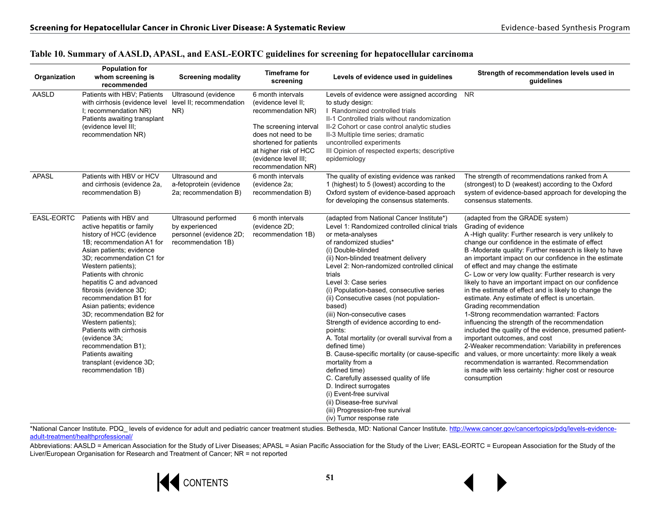| Organization | <b>Population for</b><br>whom screening is<br>recommended                                                                                                                                                                                                                                                                                                                                                                                                                                                                    | <b>Screening modality</b>                                                               | <b>Timeframe for</b><br>screening                                                                                                                                                                                | Levels of evidence used in guidelines                                                                                                                                                                                                                                                                                                                                                                                                                                                                                                                                                                                                                                                                                                                                                                                             | Strength of recommendation levels used in<br>guidelines                                                                                                                                                                                                                                                                                                                                                                                                                                                                                                                                                                                                                                                                                                                                                                                                                                                                                                                                                           |
|--------------|------------------------------------------------------------------------------------------------------------------------------------------------------------------------------------------------------------------------------------------------------------------------------------------------------------------------------------------------------------------------------------------------------------------------------------------------------------------------------------------------------------------------------|-----------------------------------------------------------------------------------------|------------------------------------------------------------------------------------------------------------------------------------------------------------------------------------------------------------------|-----------------------------------------------------------------------------------------------------------------------------------------------------------------------------------------------------------------------------------------------------------------------------------------------------------------------------------------------------------------------------------------------------------------------------------------------------------------------------------------------------------------------------------------------------------------------------------------------------------------------------------------------------------------------------------------------------------------------------------------------------------------------------------------------------------------------------------|-------------------------------------------------------------------------------------------------------------------------------------------------------------------------------------------------------------------------------------------------------------------------------------------------------------------------------------------------------------------------------------------------------------------------------------------------------------------------------------------------------------------------------------------------------------------------------------------------------------------------------------------------------------------------------------------------------------------------------------------------------------------------------------------------------------------------------------------------------------------------------------------------------------------------------------------------------------------------------------------------------------------|
| <b>AASLD</b> | Patients with HBV; Patients<br>with cirrhosis (evidence level level II; recommendation<br>I; recommendation NR)<br>Patients awaiting transplant<br>(evidence level III;<br>recommendation NR)                                                                                                                                                                                                                                                                                                                                | Ultrasound (evidence<br>NR)                                                             | 6 month intervals<br>(evidence level II;<br>recommendation NR)<br>The screening interval<br>does not need to be<br>shortened for patients<br>at higher risk of HCC<br>(evidence level III;<br>recommendation NR) | Levels of evidence were assigned according<br>to study design:<br>I Randomized controlled trials<br>II-1 Controlled trials without randomization<br>II-2 Cohort or case control analytic studies<br>II-3 Multiple time series; dramatic<br>uncontrolled experiments<br>III Opinion of respected experts; descriptive<br>epidemiology                                                                                                                                                                                                                                                                                                                                                                                                                                                                                              | <b>NR</b>                                                                                                                                                                                                                                                                                                                                                                                                                                                                                                                                                                                                                                                                                                                                                                                                                                                                                                                                                                                                         |
| <b>APASL</b> | Patients with HBV or HCV<br>and cirrhosis (evidence 2a,<br>recommendation B)                                                                                                                                                                                                                                                                                                                                                                                                                                                 | Ultrasound and<br>a-fetoprotein (evidence<br>2a; recommendation B)                      | 6 month intervals<br>(evidence 2a;<br>recommendation B)                                                                                                                                                          | The quality of existing evidence was ranked<br>1 (highest) to 5 (lowest) according to the<br>Oxford system of evidence-based approach<br>for developing the consensus statements.                                                                                                                                                                                                                                                                                                                                                                                                                                                                                                                                                                                                                                                 | The strength of recommendations ranked from A<br>(strongest) to D (weakest) according to the Oxford<br>system of evidence-based approach for developing the<br>consensus statements.                                                                                                                                                                                                                                                                                                                                                                                                                                                                                                                                                                                                                                                                                                                                                                                                                              |
| EASL-EORTC   | Patients with HBV and<br>active hepatitis or family<br>history of HCC (evidence<br>1B; recommendation A1 for<br>Asian patients; evidence<br>3D; recommendation C1 for<br>Western patients);<br>Patients with chronic<br>hepatitis C and advanced<br>fibrosis (evidence 3D;<br>recommendation B1 for<br>Asian patients; evidence<br>3D; recommendation B2 for<br>Western patients);<br>Patients with cirrhosis<br>(evidence 3A;<br>recommendation B1);<br>Patients awaiting<br>transplant (evidence 3D;<br>recommendation 1B) | Ultrasound performed<br>by experienced<br>personnel (evidence 2D;<br>recommendation 1B) | 6 month intervals<br>(evidence 2D;<br>recommendation 1B)                                                                                                                                                         | (adapted from National Cancer Institute*)<br>Level 1: Randomized controlled clinical trials<br>or meta-analyses<br>of randomized studies*<br>(i) Double-blinded<br>(ii) Non-blinded treatment delivery<br>Level 2: Non-randomized controlled clinical<br>trials<br>Level 3: Case series<br>(i) Population-based, consecutive series<br>(ii) Consecutive cases (not population-<br>based)<br>(iii) Non-consecutive cases<br>Strength of evidence according to end-<br>points:<br>A. Total mortality (or overall survival from a<br>defined time)<br>B. Cause-specific mortality (or cause-specific<br>mortality from a<br>defined time)<br>C. Carefully assessed quality of life<br>D. Indirect surrogates<br>(i) Event-free survival<br>(ii) Disease-free survival<br>(iii) Progression-free survival<br>(iv) Tumor response rate | (adapted from the GRADE system)<br>Grading of evidence<br>A-High quality: Further research is very unlikely to<br>change our confidence in the estimate of effect<br>B-Moderate quality: Further research is likely to have<br>an important impact on our confidence in the estimate<br>of effect and may change the estimate<br>C- Low or very low quality: Further research is very<br>likely to have an important impact on our confidence<br>in the estimate of effect and is likely to change the<br>estimate. Any estimate of effect is uncertain.<br>Grading recommendation<br>1-Strong recommendation warranted: Factors<br>influencing the strength of the recommendation<br>included the quality of the evidence, presumed patient-<br>important outcomes, and cost<br>2-Weaker recommendation: Variability in preferences<br>and values, or more uncertainty: more likely a weak<br>recommendation is warranted. Recommendation<br>is made with less certainty: higher cost or resource<br>consumption |

#### **Table 10. Summary of AASLD, APASL, and EASL-EORTC guidelines for screening for hepatocellular carcinoma**

\*National Cancer Institute. PDQ\_ levels of evidence for adult and pediatric cancer treatment studies. Bethesda, MD: National Cancer Institute. [http://www.cancer.gov/cancertopics/pdq/levels-evidence](http://www.cancer.gov/cancertopics/pdq/levels-evidence-adult-treatment/healthprofessional/)[adult-treatment/healthprofessional/](http://www.cancer.gov/cancertopics/pdq/levels-evidence-adult-treatment/healthprofessional/)

Abbreviations: AASLD = American Association for the Study of Liver Diseases; APASL = Asian Pacific Association for the Study of the Liver; EASL-EORTC = European Association for the Study of the Liver/European Organisation for Research and Treatment of Cancer; NR = not reported

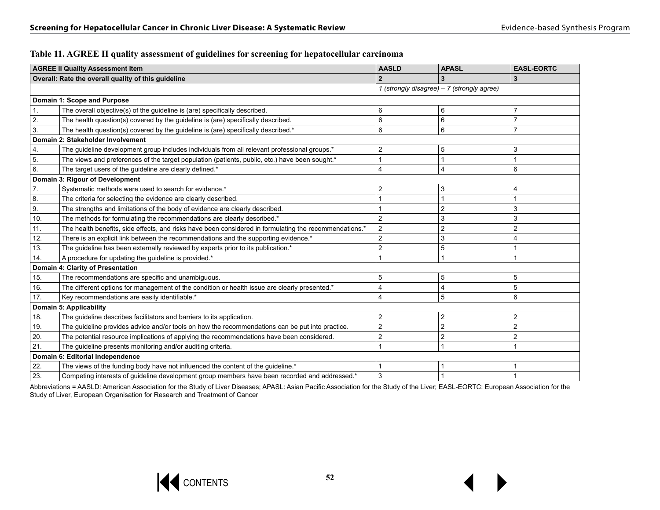| Table 11. AGREE II quality assessment of guidelines for screening for hepatocellular carcinoma |  |
|------------------------------------------------------------------------------------------------|--|
|------------------------------------------------------------------------------------------------|--|

|                  | <b>AGREE II Quality Assessment Item</b>                                                                | <b>AASLD</b>                               | <b>APASL</b>   | <b>EASL-EORTC</b> |  |
|------------------|--------------------------------------------------------------------------------------------------------|--------------------------------------------|----------------|-------------------|--|
|                  | Overall: Rate the overall quality of this guideline                                                    |                                            |                | 3                 |  |
|                  |                                                                                                        | 1 (strongly disagree) – 7 (strongly agree) |                |                   |  |
|                  | Domain 1: Scope and Purpose                                                                            |                                            |                |                   |  |
| 1.               | The overall objective(s) of the guideline is (are) specifically described.                             | 6                                          | 6              | 7                 |  |
| 2.               | The health question(s) covered by the guideline is (are) specifically described.                       | 6                                          | 6              | 7                 |  |
| 3.               | The health question(s) covered by the guideline is (are) specifically described.*                      | 6                                          | 6              | $\overline{7}$    |  |
|                  | Domain 2: Stakeholder Involvement                                                                      |                                            |                |                   |  |
| 4.               | The guideline development group includes individuals from all relevant professional groups.*           | $\overline{2}$                             | 5              | 3                 |  |
| 5.               | The views and preferences of the target population (patients, public, etc.) have been sought.*         |                                            | 1              |                   |  |
| 6.               | The target users of the guideline are clearly defined.*                                                | $\overline{4}$                             | $\overline{4}$ | 6                 |  |
|                  | Domain 3: Rigour of Development                                                                        |                                            |                |                   |  |
| $\overline{7}$ . | Systematic methods were used to search for evidence.*                                                  | $\overline{2}$                             | 3              | 4                 |  |
| 8.               | The criteria for selecting the evidence are clearly described.                                         |                                            | 1              |                   |  |
| 9.               | The strengths and limitations of the body of evidence are clearly described.                           |                                            | $\overline{2}$ | 3                 |  |
| 10.              | The methods for formulating the recommendations are clearly described.*                                | $\overline{2}$                             | 3              | 3                 |  |
| 11.              | The health benefits, side effects, and risks have been considered in formulating the recommendations.* | $\overline{2}$                             | $\overline{c}$ | $\overline{2}$    |  |
| 12.              | There is an explicit link between the recommendations and the supporting evidence.*                    | $\overline{2}$                             | 3              | 4                 |  |
| 13.              | The guideline has been externally reviewed by experts prior to its publication.*                       | $\overline{2}$                             | 5              |                   |  |
| 14.              | A procedure for updating the quideline is provided.*                                                   |                                            | 1              |                   |  |
|                  | Domain 4: Clarity of Presentation                                                                      |                                            |                |                   |  |
| 15.              | The recommendations are specific and unambiguous.                                                      | 5                                          | $\overline{5}$ | 5                 |  |
| 16.              | The different options for management of the condition or health issue are clearly presented.*          | 4                                          | $\overline{4}$ | 5                 |  |
| 17.              | Key recommendations are easily identifiable.*                                                          | $\overline{4}$                             | $\overline{5}$ | 6                 |  |
|                  | <b>Domain 5: Applicability</b>                                                                         |                                            |                |                   |  |
| 18.              | The guideline describes facilitators and barriers to its application.                                  | $\overline{2}$                             | $\overline{c}$ | 2                 |  |
| 19.              | The guideline provides advice and/or tools on how the recommendations can be put into practice.        | $\overline{2}$                             | $\mathbf 2$    | 2                 |  |
| 20.              | The potential resource implications of applying the recommendations have been considered.              | $\overline{2}$                             | $\overline{c}$ | 2                 |  |
| 21.              | The guideline presents monitoring and/or auditing criteria.                                            |                                            | $\overline{1}$ |                   |  |
|                  | Domain 6: Editorial Independence                                                                       |                                            |                |                   |  |
| 22.              | The views of the funding body have not influenced the content of the guideline.*                       |                                            |                |                   |  |
| 23.              | Competing interests of quideline development group members have been recorded and addressed.*          | 3                                          |                |                   |  |

Abbreviations = AASLD: American Association for the Study of Liver Diseases; APASL: Asian Pacific Association for the Study of the Liver; EASL-EORTC: European Association for the Study of Liver, European Organisation for Research and Treatment of Cancer

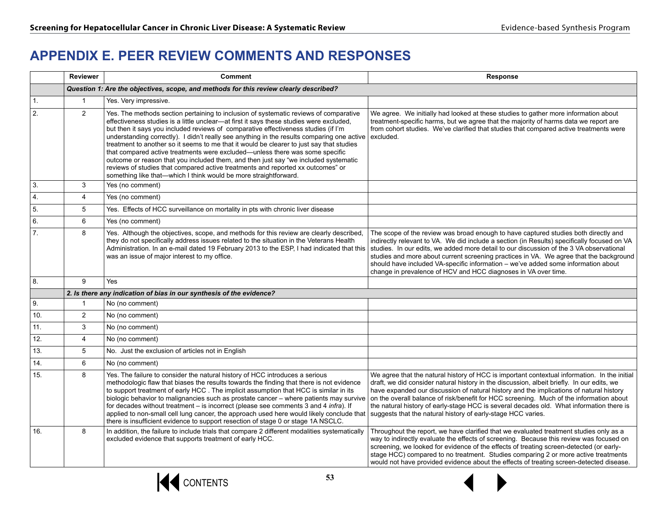## **APPENDIX E. PEER REVIEW COMMENTS AND RESPONSES**

|                  | <b>Reviewer</b> | <b>Comment</b>                                                                                                                                                                                                                                                                                                                                                                                                                                                                                                                                                                                                                                                                                                                                                                                 | <b>Response</b>                                                                                                                                                                                                                                                                                                                                                                                                                                                                                                                              |
|------------------|-----------------|------------------------------------------------------------------------------------------------------------------------------------------------------------------------------------------------------------------------------------------------------------------------------------------------------------------------------------------------------------------------------------------------------------------------------------------------------------------------------------------------------------------------------------------------------------------------------------------------------------------------------------------------------------------------------------------------------------------------------------------------------------------------------------------------|----------------------------------------------------------------------------------------------------------------------------------------------------------------------------------------------------------------------------------------------------------------------------------------------------------------------------------------------------------------------------------------------------------------------------------------------------------------------------------------------------------------------------------------------|
|                  |                 | Question 1: Are the objectives, scope, and methods for this review clearly described?                                                                                                                                                                                                                                                                                                                                                                                                                                                                                                                                                                                                                                                                                                          |                                                                                                                                                                                                                                                                                                                                                                                                                                                                                                                                              |
| 1.               | $\mathbf{1}$    | Yes. Very impressive.                                                                                                                                                                                                                                                                                                                                                                                                                                                                                                                                                                                                                                                                                                                                                                          |                                                                                                                                                                                                                                                                                                                                                                                                                                                                                                                                              |
| 2.               | 2               | Yes. The methods section pertaining to inclusion of systematic reviews of comparative<br>effectiveness studies is a little unclear-at first it says these studies were excluded,<br>but then it says you included reviews of comparative effectiveness studies (if I'm<br>understanding correctly). I didn't really see anything in the results comparing one active<br>treatment to another so it seems to me that it would be clearer to just say that studies<br>that compared active treatments were excluded-unless there was some specific<br>outcome or reason that you included them, and then just say "we included systematic<br>reviews of studies that compared active treatments and reported xx outcomes" or<br>something like that-which I think would be more straightforward. | We agree. We initially had looked at these studies to gather more information about<br>treatment-specific harms, but we agree that the majority of harms data we report are<br>from cohort studies. We've clarified that studies that compared active treatments were<br>excluded.                                                                                                                                                                                                                                                           |
| 3.               | 3               | Yes (no comment)                                                                                                                                                                                                                                                                                                                                                                                                                                                                                                                                                                                                                                                                                                                                                                               |                                                                                                                                                                                                                                                                                                                                                                                                                                                                                                                                              |
| 4.               | $\overline{4}$  | Yes (no comment)                                                                                                                                                                                                                                                                                                                                                                                                                                                                                                                                                                                                                                                                                                                                                                               |                                                                                                                                                                                                                                                                                                                                                                                                                                                                                                                                              |
| 5.               | 5               | Yes. Effects of HCC surveillance on mortality in pts with chronic liver disease                                                                                                                                                                                                                                                                                                                                                                                                                                                                                                                                                                                                                                                                                                                |                                                                                                                                                                                                                                                                                                                                                                                                                                                                                                                                              |
| 6.               | 6               | Yes (no comment)                                                                                                                                                                                                                                                                                                                                                                                                                                                                                                                                                                                                                                                                                                                                                                               |                                                                                                                                                                                                                                                                                                                                                                                                                                                                                                                                              |
| $\overline{7}$ . | 8               | Yes. Although the objectives, scope, and methods for this review are clearly described,<br>they do not specifically address issues related to the situation in the Veterans Health<br>Administration. In an e-mail dated 19 February 2013 to the ESP, I had indicated that this<br>was an issue of major interest to my office.                                                                                                                                                                                                                                                                                                                                                                                                                                                                | The scope of the review was broad enough to have captured studies both directly and<br>indirectly relevant to VA. We did include a section (in Results) specifically focused on VA<br>studies. In our edits, we added more detail to our discussion of the 3 VA observational<br>studies and more about current screening practices in VA. We agree that the background<br>should have included VA-specific information - we've added some information about<br>change in prevalence of HCV and HCC diagnoses in VA over time.               |
| 8.               | 9               | Yes                                                                                                                                                                                                                                                                                                                                                                                                                                                                                                                                                                                                                                                                                                                                                                                            |                                                                                                                                                                                                                                                                                                                                                                                                                                                                                                                                              |
|                  |                 | 2. Is there any indication of bias in our synthesis of the evidence?                                                                                                                                                                                                                                                                                                                                                                                                                                                                                                                                                                                                                                                                                                                           |                                                                                                                                                                                                                                                                                                                                                                                                                                                                                                                                              |
| 9.               | $\mathbf{1}$    | No (no comment)                                                                                                                                                                                                                                                                                                                                                                                                                                                                                                                                                                                                                                                                                                                                                                                |                                                                                                                                                                                                                                                                                                                                                                                                                                                                                                                                              |
| 10.              | $\overline{2}$  | No (no comment)                                                                                                                                                                                                                                                                                                                                                                                                                                                                                                                                                                                                                                                                                                                                                                                |                                                                                                                                                                                                                                                                                                                                                                                                                                                                                                                                              |
| 11.              | 3               | No (no comment)                                                                                                                                                                                                                                                                                                                                                                                                                                                                                                                                                                                                                                                                                                                                                                                |                                                                                                                                                                                                                                                                                                                                                                                                                                                                                                                                              |
| 12.              | $\overline{4}$  | No (no comment)                                                                                                                                                                                                                                                                                                                                                                                                                                                                                                                                                                                                                                                                                                                                                                                |                                                                                                                                                                                                                                                                                                                                                                                                                                                                                                                                              |
| 13.              | 5               | No. Just the exclusion of articles not in English                                                                                                                                                                                                                                                                                                                                                                                                                                                                                                                                                                                                                                                                                                                                              |                                                                                                                                                                                                                                                                                                                                                                                                                                                                                                                                              |
| 14.              | 6               | No (no comment)                                                                                                                                                                                                                                                                                                                                                                                                                                                                                                                                                                                                                                                                                                                                                                                |                                                                                                                                                                                                                                                                                                                                                                                                                                                                                                                                              |
| 15.              | 8               | Yes. The failure to consider the natural history of HCC introduces a serious<br>methodologic flaw that biases the results towards the finding that there is not evidence<br>to support treatment of early HCC. The implicit assumption that HCC is similar in its<br>biologic behavior to malignancies such as prostate cancer - where patients may survive<br>for decades without treatment - is incorrect (please see comments 3 and 4 infra). If<br>applied to non-small cell lung cancer, the approach used here would likely conclude that<br>there is insufficient evidence to support resection of stage 0 or stage 1A NSCLC.                                                                                                                                                           | We agree that the natural history of HCC is important contextual information. In the initial<br>draft, we did consider natural history in the discussion, albeit briefly. In our edits, we<br>have expanded our discussion of natural history and the implications of natural history<br>on the overall balance of risk/benefit for HCC screening. Much of the information about<br>the natural history of early-stage HCC is several decades old. What information there is<br>suggests that the natural history of early-stage HCC varies. |
| 16.              | 8               | In addition, the failure to include trials that compare 2 different modalities systematically<br>excluded evidence that supports treatment of early HCC.                                                                                                                                                                                                                                                                                                                                                                                                                                                                                                                                                                                                                                       | Throughout the report, we have clarified that we evaluated treatment studies only as a<br>way to indirectly evaluate the effects of screening. Because this review was focused on<br>screening, we looked for evidence of the effects of treating screen-detected (or early-<br>stage HCC) compared to no treatment. Studies comparing 2 or more active treatments<br>would not have provided evidence about the effects of treating screen-detected disease.                                                                                |



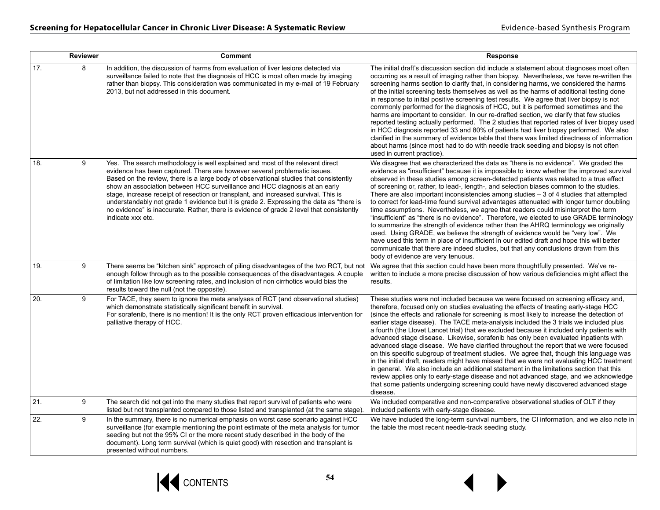|     | Reviewer | <b>Comment</b>                                                                                                                                                                                                                                                                                                                                                                                                                                                                                                                                                                                                                       | Response                                                                                                                                                                                                                                                                                                                                                                                                                                                                                                                                                                                                                                                                                                                                                                                                                                                                                                                                                                                                                                                                                                                                          |
|-----|----------|--------------------------------------------------------------------------------------------------------------------------------------------------------------------------------------------------------------------------------------------------------------------------------------------------------------------------------------------------------------------------------------------------------------------------------------------------------------------------------------------------------------------------------------------------------------------------------------------------------------------------------------|---------------------------------------------------------------------------------------------------------------------------------------------------------------------------------------------------------------------------------------------------------------------------------------------------------------------------------------------------------------------------------------------------------------------------------------------------------------------------------------------------------------------------------------------------------------------------------------------------------------------------------------------------------------------------------------------------------------------------------------------------------------------------------------------------------------------------------------------------------------------------------------------------------------------------------------------------------------------------------------------------------------------------------------------------------------------------------------------------------------------------------------------------|
| 17. | 8        | In addition, the discussion of harms from evaluation of liver lesions detected via<br>surveillance failed to note that the diagnosis of HCC is most often made by imaging<br>rather than biopsy. This consideration was communicated in my e-mail of 19 February<br>2013, but not addressed in this document.                                                                                                                                                                                                                                                                                                                        | The initial draft's discussion section did include a statement about diagnoses most often<br>occurring as a result of imaging rather than biopsy. Nevertheless, we have re-written the<br>screening harms section to clarify that, in considering harms, we considered the harms<br>of the initial screening tests themselves as well as the harms of additional testing done<br>in response to initial positive screening test results. We agree that liver biopsy is not<br>commonly performed for the diagnosis of HCC, but it is performed sometimes and the<br>harms are important to consider. In our re-drafted section, we clarify that few studies<br>reported testing actually performed. The 2 studies that reported rates of liver biopsy used<br>in HCC diagnosis reported 33 and 80% of patients had liver biopsy performed. We also<br>clarified in the summary of evidence table that there was limited directness of information<br>about harms (since most had to do with needle track seeding and biopsy is not often<br>used in current practice).                                                                            |
| 18. | 9        | Yes. The search methodology is well explained and most of the relevant direct<br>evidence has been captured. There are however several problematic issues.<br>Based on the review, there is a large body of observational studies that consistently<br>show an association between HCC surveillance and HCC diagnosis at an early<br>stage, increase receipt of resection or transplant, and increased survival. This is<br>understandably not grade 1 evidence but it is grade 2. Expressing the data as "there is<br>no evidence" is inaccurate. Rather, there is evidence of grade 2 level that consistently<br>indicate xxx etc. | We disagree that we characterized the data as "there is no evidence". We graded the<br>evidence as "insufficient" because it is impossible to know whether the improved survival<br>observed in these studies among screen-detected patients was related to a true effect<br>of screening or, rather, to lead-, length-, and selection biases common to the studies.<br>There are also important inconsistencies among studies $-3$ of 4 studies that attempted<br>to correct for lead-time found survival advantages attenuated with longer tumor doubling<br>time assumptions. Nevertheless, we agree that readers could misinterpret the term<br>"insufficient" as "there is no evidence". Therefore, we elected to use GRADE terminology<br>to summarize the strength of evidence rather than the AHRQ terminology we originally<br>used. Using GRADE, we believe the strength of evidence would be "very low". We<br>have used this term in place of insufficient in our edited draft and hope this will better<br>communicate that there are indeed studies, but that any conclusions drawn from this<br>body of evidence are very tenuous. |
| 19. | 9        | There seems be "kitchen sink" approach of piling disadvantages of the two RCT, but not<br>enough follow through as to the possible consequences of the disadvantages. A couple<br>of limitation like low screening rates, and inclusion of non cirrhotics would bias the<br>results toward the null (not the opposite).                                                                                                                                                                                                                                                                                                              | We agree that this section could have been more thoughtfully presented. We've re-<br>written to include a more precise discussion of how various deficiencies might affect the<br>results.                                                                                                                                                                                                                                                                                                                                                                                                                                                                                                                                                                                                                                                                                                                                                                                                                                                                                                                                                        |
| 20. | 9        | For TACE, they seem to ignore the meta analyses of RCT (and observational studies)<br>which demonstrate statistically significant benefit in survival.<br>For sorafenib, there is no mention! It is the only RCT proven efficacious intervention for<br>palliative therapy of HCC.                                                                                                                                                                                                                                                                                                                                                   | These studies were not included because we were focused on screening efficacy and.<br>therefore, focused only on studies evaluating the effects of treating early-stage HCC<br>(since the effects and rationale for screening is most likely to increase the detection of<br>earlier stage disease). The TACE meta-analysis included the 3 trials we included plus<br>a fourth (the Llovet Lancet trial) that we excluded because it included only patients with<br>advanced stage disease. Likewise, sorafenib has only been evaluated inpatients with<br>advanced stage disease. We have clarified throughout the report that we were focused<br>on this specific subgroup of treatment studies. We agree that, though this language was<br>in the initial draft, readers might have missed that we were not evaluating HCC treatment<br>in general. We also include an additional statement in the limitations section that this<br>review applies only to early-stage disease and not advanced stage, and we acknowledge<br>that some patients undergoing screening could have newly discovered advanced stage<br>disease.                    |
| 21. | 9        | The search did not get into the many studies that report survival of patients who were<br>listed but not transplanted compared to those listed and transplanted (at the same stage).                                                                                                                                                                                                                                                                                                                                                                                                                                                 | We included comparative and non-comparative observational studies of OLT if they<br>included patients with early-stage disease.                                                                                                                                                                                                                                                                                                                                                                                                                                                                                                                                                                                                                                                                                                                                                                                                                                                                                                                                                                                                                   |
| 22. | 9        | In the summary, there is no numerical emphasis on worst case scenario against HCC<br>surveillance (for example mentioning the point estimate of the meta analysis for tumor<br>seeding but not the 95% CI or the more recent study described in the body of the<br>document). Long term survival (which is quiet good) with resection and transplant is<br>presented without numbers.                                                                                                                                                                                                                                                | We have included the long-term survival numbers, the CI information, and we also note in<br>the table the most recent needle-track seeding study.                                                                                                                                                                                                                                                                                                                                                                                                                                                                                                                                                                                                                                                                                                                                                                                                                                                                                                                                                                                                 |

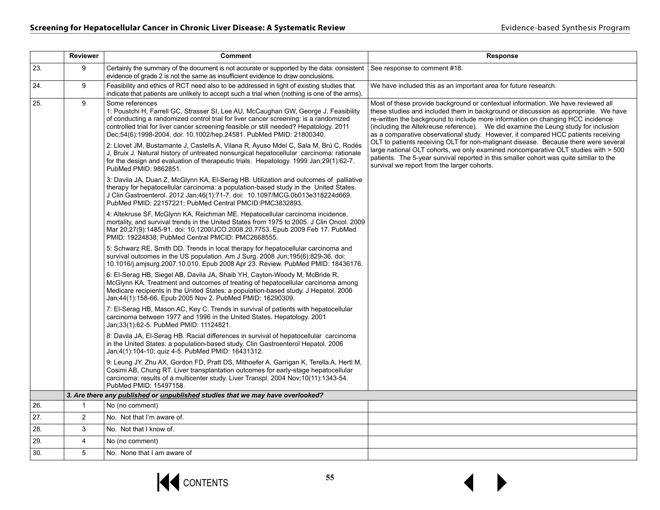|     | Reviewer       | <b>Comment</b>                                                                                                                                                                                                                                                                                                                                                  | <b>Response</b>                                                                                                                                                                                                                                                                                                                                                                                                                                                                                                              |
|-----|----------------|-----------------------------------------------------------------------------------------------------------------------------------------------------------------------------------------------------------------------------------------------------------------------------------------------------------------------------------------------------------------|------------------------------------------------------------------------------------------------------------------------------------------------------------------------------------------------------------------------------------------------------------------------------------------------------------------------------------------------------------------------------------------------------------------------------------------------------------------------------------------------------------------------------|
| 23. | 9              | Certainly the summary of the document is not accurate or supported by the data: consistent<br>evidence of grade 2 is not the same as insufficient evidence to draw conclusions.                                                                                                                                                                                 | See response to comment #18.                                                                                                                                                                                                                                                                                                                                                                                                                                                                                                 |
| 24. | 9              | Feasibility and ethics of RCT need also to be addressed in light of existing studies that<br>indicate that patients are unlikely to accept such a trial when (nothing is one of the arms).                                                                                                                                                                      | We have included this as an important area for future research.                                                                                                                                                                                                                                                                                                                                                                                                                                                              |
| 25. | 9              | Some references<br>1: Poustchi H. Farrell GC. Strasser SI, Lee AU, McCaughan GW, George J. Feasibility<br>of conducting a randomized control trial for liver cancer screening: is a randomized<br>controlled trial for liver cancer screening feasible or still needed? Hepatology. 2011<br>Dec;54(6):1998-2004. doi: 10.1002/hep.24581. PubMed PMID: 21800340. | Most of these provide background or contextual information. We have reviewed all<br>these studies and included them in background or discussion as appropriate. We have<br>re-written the background to include more information on changing HCC incidence<br>(including the Altekreuse reference). We did examine the Leung study for inclusion<br>as a comparative observational study. However, it compared HCC patients receiving<br>OLT to patients receiving OLT for non-malignant disease. Because there were several |
|     |                | 2: Llovet JM, Bustamante J, Castells A, Vilana R, Ayuso Mdel C, Sala M, Brú C, Rodés<br>J. Bruix J. Natural history of untreated nonsurgical hepatocellular carcinoma: rationale<br>for the design and evaluation of therapeutic trials. Hepatology, 1999 Jan: 29(1): 62-7.<br>PubMed PMID: 9862851.                                                            | large national OLT cohorts, we only examined noncomparative OLT studies with > 500<br>patients. The 5-year survival reported in this smaller cohort was quite similar to the<br>survival we report from the larger cohorts.                                                                                                                                                                                                                                                                                                  |
|     |                | 3: Davila JA, Duan Z, McGlynn KA, El-Serag HB. Utilization and outcomes of palliative<br>therapy for hepatocellular carcinoma: a population-based study in the United States.<br>J Clin Gastroenterol. 2012 Jan;46(1):71-7. doi: 10.1097/MCG.0b013e318224d669.<br>PubMed PMID: 22157221; PubMed Central PMCID:PMC3832893.                                       |                                                                                                                                                                                                                                                                                                                                                                                                                                                                                                                              |
|     |                | 4: Altekruse SF, McGlynn KA, Reichman ME. Hepatocellular carcinoma incidence,<br>mortality, and survival trends in the United States from 1975 to 2005. J Clin Oncol. 2009<br>Mar 20;27(9):1485-91. doi: 10.1200/JCO.2008.20.7753. Epub 2009 Feb 17. PubMed<br>PMID: 19224838; PubMed Central PMCID: PMC2668555.                                                |                                                                                                                                                                                                                                                                                                                                                                                                                                                                                                                              |
|     |                | 5: Schwarz RE, Smith DD. Trends in local therapy for hepatocellular carcinoma and<br>survival outcomes in the US population. Am J Surg. 2008 Jun; 195(6):829-36. doi:<br>10.1016/j.amjsurg.2007.10.010. Epub 2008 Apr 23. Review. PubMed PMID: 18436176.                                                                                                        |                                                                                                                                                                                                                                                                                                                                                                                                                                                                                                                              |
|     |                | 6: El-Serag HB, Siegel AB, Davila JA, Shaib YH, Cayton-Woody M, McBride R,<br>McGlynn KA. Treatment and outcomes of treating of hepatocellular carcinoma among<br>Medicare recipients in the United States: a population-based study. J Hepatol. 2006<br>Jan: 44(1): 158-66. Epub 2005 Nov 2. PubMed PMID: 16290309.                                            |                                                                                                                                                                                                                                                                                                                                                                                                                                                                                                                              |
|     |                | 7: El-Serag HB, Mason AC, Key C. Trends in survival of patients with hepatocellular<br>carcinoma between 1977 and 1996 in the United States. Hepatology. 2001<br>Jan;33(1):62-5. PubMed PMID: 11124821.                                                                                                                                                         |                                                                                                                                                                                                                                                                                                                                                                                                                                                                                                                              |
|     |                | 8: Davila JA, El-Serag HB. Racial differences in survival of hepatocellular carcinoma<br>in the United States: a population-based study. Clin Gastroenterol Hepatol. 2006<br>Jan;4(1):104-10; quiz 4-5. PubMed PMID: 16431312.                                                                                                                                  |                                                                                                                                                                                                                                                                                                                                                                                                                                                                                                                              |
|     |                | 9: Leung JY, Zhu AX, Gordon FD, Pratt DS, Mithoefer A, Garrigan K, Terella A, Hertl M,<br>Cosimi AB, Chung RT. Liver transplantation outcomes for early-stage hepatocellular<br>carcinoma: results of a multicenter study. Liver Transpl. 2004 Nov;10(11):1343-54.<br>PubMed PMID: 15497158.                                                                    |                                                                                                                                                                                                                                                                                                                                                                                                                                                                                                                              |
|     |                | 3. Are there any published or unpublished studies that we may have overlooked?                                                                                                                                                                                                                                                                                  |                                                                                                                                                                                                                                                                                                                                                                                                                                                                                                                              |
| 26. | $\mathbf{1}$   | No (no comment)                                                                                                                                                                                                                                                                                                                                                 |                                                                                                                                                                                                                                                                                                                                                                                                                                                                                                                              |
| 27. | $\overline{2}$ | No. Not that I'm aware of.                                                                                                                                                                                                                                                                                                                                      |                                                                                                                                                                                                                                                                                                                                                                                                                                                                                                                              |
| 28. | 3              | No. Not that I know of.                                                                                                                                                                                                                                                                                                                                         |                                                                                                                                                                                                                                                                                                                                                                                                                                                                                                                              |
| 29. | 4              | No (no comment)                                                                                                                                                                                                                                                                                                                                                 |                                                                                                                                                                                                                                                                                                                                                                                                                                                                                                                              |
| 30. | 5              | No. None that I am aware of                                                                                                                                                                                                                                                                                                                                     |                                                                                                                                                                                                                                                                                                                                                                                                                                                                                                                              |

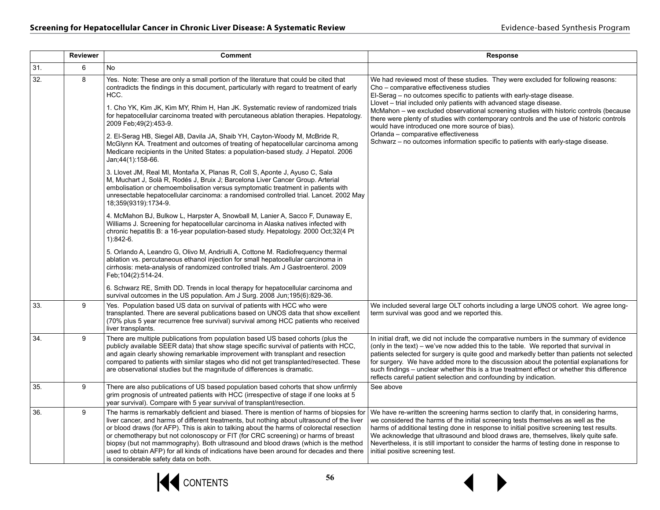|     | <b>Reviewer</b> | <b>Comment</b>                                                                                                                                                                                                                                                                                                                                                                                                                                                                                                                                                                                                                                                                                                                                                     | <b>Response</b>                                                                                                                                                                                                                                                                                                                                                                                                                                                                                                                                                                                                                               |
|-----|-----------------|--------------------------------------------------------------------------------------------------------------------------------------------------------------------------------------------------------------------------------------------------------------------------------------------------------------------------------------------------------------------------------------------------------------------------------------------------------------------------------------------------------------------------------------------------------------------------------------------------------------------------------------------------------------------------------------------------------------------------------------------------------------------|-----------------------------------------------------------------------------------------------------------------------------------------------------------------------------------------------------------------------------------------------------------------------------------------------------------------------------------------------------------------------------------------------------------------------------------------------------------------------------------------------------------------------------------------------------------------------------------------------------------------------------------------------|
| 31. | 6               | No                                                                                                                                                                                                                                                                                                                                                                                                                                                                                                                                                                                                                                                                                                                                                                 |                                                                                                                                                                                                                                                                                                                                                                                                                                                                                                                                                                                                                                               |
| 32. | 8               | Yes. Note: These are only a small portion of the literature that could be cited that<br>contradicts the findings in this document, particularly with regard to treatment of early<br>HCC.<br>1. Cho YK, Kim JK, Kim MY, Rhim H, Han JK. Systematic review of randomized trials<br>for hepatocellular carcinoma treated with percutaneous ablation therapies. Hepatology.<br>2009 Feb; 49(2): 453-9.<br>2. El-Serag HB, Siegel AB, Davila JA, Shaib YH, Cayton-Woody M, McBride R,<br>McGlynn KA. Treatment and outcomes of treating of hepatocellular carcinoma among<br>Medicare recipients in the United States: a population-based study. J Hepatol. 2006<br>Jan: 44(1): 158-66.<br>3. Llovet JM, Real MI, Montaña X, Planas R, Coll S, Aponte J, Ayuso C, Sala | We had reviewed most of these studies. They were excluded for following reasons:<br>Cho - comparative effectiveness studies<br>El-Serag – no outcomes specific to patients with early-stage disease.<br>Llovet - trial included only patients with advanced stage disease.<br>McMahon - we excluded observational screening studies with historic controls (because<br>there were plenty of studies with contemporary controls and the use of historic controls<br>would have introduced one more source of bias).<br>Orlanda - comparative effectiveness<br>Schwarz – no outcomes information specific to patients with early-stage disease. |
|     |                 | M, Muchart J, Solà R, Rodés J, Bruix J; Barcelona Liver Cancer Group. Arterial<br>embolisation or chemoembolisation versus symptomatic treatment in patients with<br>unresectable hepatocellular carcinoma: a randomised controlled trial. Lancet. 2002 May<br>18;359(9319):1734-9.                                                                                                                                                                                                                                                                                                                                                                                                                                                                                |                                                                                                                                                                                                                                                                                                                                                                                                                                                                                                                                                                                                                                               |
|     |                 | 4. McMahon BJ, Bulkow L, Harpster A, Snowball M, Lanier A, Sacco F, Dunaway E,<br>Williams J. Screening for hepatocellular carcinoma in Alaska natives infected with<br>chronic hepatitis B: a 16-year population-based study. Hepatology. 2000 Oct;32(4 Pt<br>$1):842-6.$                                                                                                                                                                                                                                                                                                                                                                                                                                                                                         |                                                                                                                                                                                                                                                                                                                                                                                                                                                                                                                                                                                                                                               |
|     |                 | 5. Orlando A, Leandro G, Olivo M, Andriulli A, Cottone M. Radiofrequency thermal<br>ablation vs. percutaneous ethanol injection for small hepatocellular carcinoma in<br>cirrhosis: meta-analysis of randomized controlled trials. Am J Gastroenterol. 2009<br>Feb; 104(2): 514-24.                                                                                                                                                                                                                                                                                                                                                                                                                                                                                |                                                                                                                                                                                                                                                                                                                                                                                                                                                                                                                                                                                                                                               |
|     |                 | 6. Schwarz RE, Smith DD. Trends in local therapy for hepatocellular carcinoma and<br>survival outcomes in the US population. Am J Surg. 2008 Jun;195(6):829-36.                                                                                                                                                                                                                                                                                                                                                                                                                                                                                                                                                                                                    |                                                                                                                                                                                                                                                                                                                                                                                                                                                                                                                                                                                                                                               |
| 33. | 9               | Yes. Population based US data on survival of patients with HCC who were<br>transplanted. There are several publications based on UNOS data that show excellent<br>(70% plus 5 year recurrence free survival) survival among HCC patients who received<br>liver transplants.                                                                                                                                                                                                                                                                                                                                                                                                                                                                                        | We included several large OLT cohorts including a large UNOS cohort. We agree long-<br>term survival was good and we reported this.                                                                                                                                                                                                                                                                                                                                                                                                                                                                                                           |
| 34. | 9               | There are multiple publications from population based US based cohorts (plus the<br>publicly available SEER data) that show stage specific survival of patients with HCC,<br>and again clearly showing remarkable improvement with transplant and resection<br>compared to patients with similar stages who did not get transplanted/resected. These<br>are observational studies but the magnitude of differences is dramatic.                                                                                                                                                                                                                                                                                                                                    | In initial draft, we did not include the comparative numbers in the summary of evidence<br>(only in the text) – we've now added this to the table. We reported that survival in<br>patients selected for surgery is quite good and markedly better than patients not selected<br>for surgery. We have added more to the discussion about the potential explanations for<br>such findings – unclear whether this is a true treatment effect or whether this difference<br>reflects careful patient selection and confounding by indication.                                                                                                    |
| 35. | 9               | There are also publications of US based population based cohorts that show unfirmly<br>grim prognosis of untreated patients with HCC (irrespective of stage if one looks at 5<br>year survival). Compare with 5 year survival of transplant/resection.                                                                                                                                                                                                                                                                                                                                                                                                                                                                                                             | See above                                                                                                                                                                                                                                                                                                                                                                                                                                                                                                                                                                                                                                     |
| 36. | 9               | The harms is remarkably deficient and biased. There is mention of harms of biopsies for<br>liver cancer, and harms of different treatments, but nothing about ultrasound of the liver<br>or blood draws (for AFP). This is akin to talking about the harms of colorectal resection<br>or chemotherapy but not colonoscopy or FIT (for CRC screening) or harms of breast<br>biopsy (but not mammography). Both ultrasound and blood draws (which is the method<br>used to obtain AFP) for all kinds of indications have been around for decades and there<br>is considerable safety data on both.                                                                                                                                                                   | We have re-written the screening harms section to clarify that, in considering harms,<br>we considered the harms of the initial screening tests themselves as well as the<br>harms of additional testing done in response to initial positive screening test results.<br>We acknowledge that ultrasound and blood draws are, themselves, likely quite safe.<br>Nevertheless, it is still important to consider the harms of testing done in response to<br>initial positive screening test.                                                                                                                                                   |

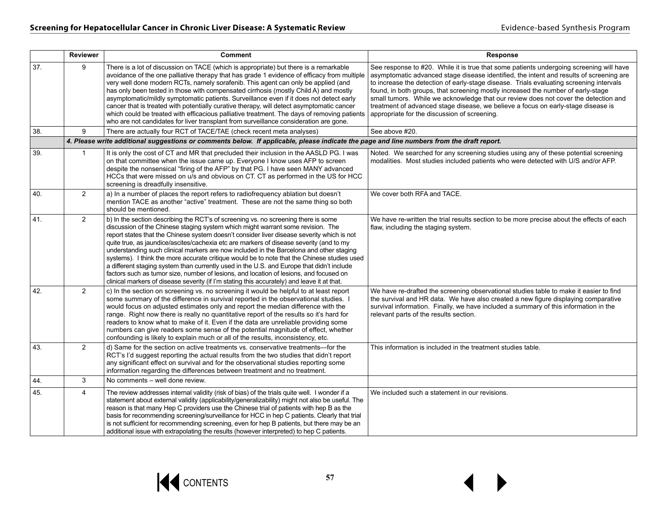|     | Reviewer       | <b>Comment</b>                                                                                                                                                                                                                                                                                                                                                                                                                                                                                                                                                                                                                                                                                                                                                                                                                                 | Response                                                                                                                                                                                                                                                                                                                                                                                                                                                                                                                                                                                      |
|-----|----------------|------------------------------------------------------------------------------------------------------------------------------------------------------------------------------------------------------------------------------------------------------------------------------------------------------------------------------------------------------------------------------------------------------------------------------------------------------------------------------------------------------------------------------------------------------------------------------------------------------------------------------------------------------------------------------------------------------------------------------------------------------------------------------------------------------------------------------------------------|-----------------------------------------------------------------------------------------------------------------------------------------------------------------------------------------------------------------------------------------------------------------------------------------------------------------------------------------------------------------------------------------------------------------------------------------------------------------------------------------------------------------------------------------------------------------------------------------------|
| 37. | 9              | There is a lot of discussion on TACE (which is appropriate) but there is a remarkable<br>avoidance of the one palliative therapy that has grade 1 evidence of efficacy from multiple<br>very well done modern RCTs, namely sorafenib. This agent can only be applied (and<br>has only been tested in those with compensated cirrhosis (mostly Child A) and mostly<br>asymptomatic/mildly symptomatic patients. Surveillance even if it does not detect early<br>cancer that is treated with potentially curative therapy, will detect asymptomatic cancer<br>which could be treated with efficacious palliative treatment. The days of removing patients<br>who are not candidates for liver transplant from surveillance consideration are gone.                                                                                              | See response to #20. While it is true that some patients undergoing screening will have<br>asymptomatic advanced stage disease identified, the intent and results of screening are<br>to increase the detection of early-stage disease. Trials evaluating screening intervals<br>found, in both groups, that screening mostly increased the number of early-stage<br>small tumors. While we acknowledge that our review does not cover the detection and<br>treatment of advanced stage disease, we believe a focus on early-stage disease is<br>appropriate for the discussion of screening. |
| 38. | 9              | There are actually four RCT of TACE/TAE (check recent meta analyses)                                                                                                                                                                                                                                                                                                                                                                                                                                                                                                                                                                                                                                                                                                                                                                           | See above #20.                                                                                                                                                                                                                                                                                                                                                                                                                                                                                                                                                                                |
|     |                | 4. Please write additional suggestions or comments below. If applicable, please indicate the page and line numbers from the draft report.                                                                                                                                                                                                                                                                                                                                                                                                                                                                                                                                                                                                                                                                                                      |                                                                                                                                                                                                                                                                                                                                                                                                                                                                                                                                                                                               |
| 39. | $\mathbf{1}$   | It is only the cost of CT and MR that precluded their inclusion in the AASLD PG. I was<br>on that committee when the issue came up. Everyone I know uses AFP to screen<br>despite the nonsensical "firing of the AFP" by that PG. I have seen MANY advanced<br>HCCs that were missed on u/s and obvious on CT. CT as performed in the US for HCC<br>screening is dreadfully insensitive.                                                                                                                                                                                                                                                                                                                                                                                                                                                       | Noted. We searched for any screening studies using any of these potential screening<br>modalities. Most studies included patients who were detected with U/S and/or AFP.                                                                                                                                                                                                                                                                                                                                                                                                                      |
| 40. | $\overline{2}$ | a) In a number of places the report refers to radiofrequency ablation but doesn't<br>mention TACE as another "active" treatment. These are not the same thing so both<br>should be mentioned.                                                                                                                                                                                                                                                                                                                                                                                                                                                                                                                                                                                                                                                  | We cover both RFA and TACE.                                                                                                                                                                                                                                                                                                                                                                                                                                                                                                                                                                   |
| 41. | $\overline{2}$ | b) In the section describing the RCT's of screening vs. no screening there is some<br>discussion of the Chinese staging system which might warrant some revision. The<br>report states that the Chinese system doesn't consider liver disease severity which is not<br>quite true, as jaundice/ascites/cachexia etc are markers of disease severity (and to my<br>understanding such clinical markers are now included in the Barcelona and other staging<br>systems). I think the more accurate critique would be to note that the Chinese studies used<br>a different staging system than currently used in the U.S. and Europe that didn't include<br>factors such as tumor size, number of lesions, and location of lesions, and focused on<br>clinical markers of disease severity (if I'm stating this accurately) and leave it at that. | We have re-written the trial results section to be more precise about the effects of each<br>flaw, including the staging system.                                                                                                                                                                                                                                                                                                                                                                                                                                                              |
| 42. | $2^{\circ}$    | c) In the section on screening vs. no screening it would be helpful to at least report<br>some summary of the difference in survival reported in the observational studies. I<br>would focus on adjusted estimates only and report the median difference with the<br>range. Right now there is really no quantitative report of the results so it's hard for<br>readers to know what to make of it. Even if the data are unreliable providing some<br>numbers can give readers some sense of the potential magnitude of effect, whether<br>confounding is likely to explain much or all of the results, inconsistency, etc.                                                                                                                                                                                                                    | We have re-drafted the screening observational studies table to make it easier to find<br>the survival and HR data. We have also created a new figure displaying comparative<br>survival information. Finally, we have included a summary of this information in the<br>relevant parts of the results section.                                                                                                                                                                                                                                                                                |
| 43. | $\overline{2}$ | d) Same for the section on active treatments vs. conservative treatments-for the<br>RCT's I'd suggest reporting the actual results from the two studies that didn't report<br>any significant effect on survival and for the observational studies reporting some<br>information regarding the differences between treatment and no treatment.                                                                                                                                                                                                                                                                                                                                                                                                                                                                                                 | This information is included in the treatment studies table.                                                                                                                                                                                                                                                                                                                                                                                                                                                                                                                                  |
| 44. | 3              | No comments - well done review.                                                                                                                                                                                                                                                                                                                                                                                                                                                                                                                                                                                                                                                                                                                                                                                                                |                                                                                                                                                                                                                                                                                                                                                                                                                                                                                                                                                                                               |
| 45. | $\overline{4}$ | The review addresses internal validity (risk of bias) of the trials quite well. I wonder if a<br>statement about external validity (applicability/generalizability) might not also be useful. The<br>reason is that many Hep C providers use the Chinese trial of patients with hep B as the<br>basis for recommending screening/surveillance for HCC in hep C patients. Clearly that trial<br>is not sufficient for recommending screening, even for hep B patients, but there may be an<br>additional issue with extrapolating the results (however interpreted) to hep C patients.                                                                                                                                                                                                                                                          | We included such a statement in our revisions.                                                                                                                                                                                                                                                                                                                                                                                                                                                                                                                                                |

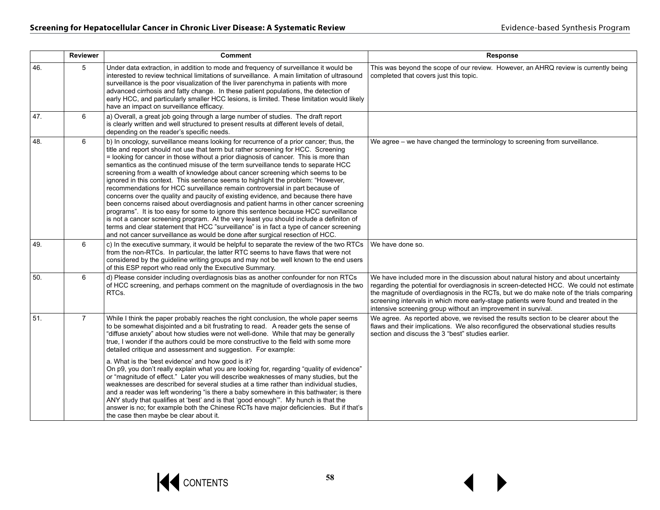|     | <b>Reviewer</b> | <b>Comment</b>                                                                                                                                                                                                                                                                                                                                                                                                                                                                                                                                                                                                                                                                                                                                                                                                                                                                                                                                                                                                                                                                                                                                          | Response                                                                                                                                                                                                                                                                                                                                                                                                                           |
|-----|-----------------|---------------------------------------------------------------------------------------------------------------------------------------------------------------------------------------------------------------------------------------------------------------------------------------------------------------------------------------------------------------------------------------------------------------------------------------------------------------------------------------------------------------------------------------------------------------------------------------------------------------------------------------------------------------------------------------------------------------------------------------------------------------------------------------------------------------------------------------------------------------------------------------------------------------------------------------------------------------------------------------------------------------------------------------------------------------------------------------------------------------------------------------------------------|------------------------------------------------------------------------------------------------------------------------------------------------------------------------------------------------------------------------------------------------------------------------------------------------------------------------------------------------------------------------------------------------------------------------------------|
| 46. | 5               | Under data extraction, in addition to mode and frequency of surveillance it would be<br>interested to review technical limitations of surveillance. A main limitation of ultrasound<br>surveillance is the poor visualization of the liver parenchyma in patients with more<br>advanced cirrhosis and fatty change. In these patient populations, the detection of<br>early HCC, and particularly smaller HCC lesions, is limited. These limitation would likely<br>have an impact on surveillance efficacy.                                                                                                                                                                                                                                                                                                                                                                                                                                                                                                                                                                                                                                            | This was beyond the scope of our review. However, an AHRQ review is currently being<br>completed that covers just this topic.                                                                                                                                                                                                                                                                                                      |
| 47. | 6               | a) Overall, a great job going through a large number of studies. The draft report<br>is clearly written and well structured to present results at different levels of detail.<br>depending on the reader's specific needs.                                                                                                                                                                                                                                                                                                                                                                                                                                                                                                                                                                                                                                                                                                                                                                                                                                                                                                                              |                                                                                                                                                                                                                                                                                                                                                                                                                                    |
| 48. | 6               | b) In oncology, surveillance means looking for recurrence of a prior cancer; thus, the<br>title and report should not use that term but rather screening for HCC. Screening<br>= looking for cancer in those without a prior diagnosis of cancer. This is more than<br>semantics as the continued misuse of the term surveillance tends to separate HCC<br>screening from a wealth of knowledge about cancer screening which seems to be<br>ignored in this context. This sentence seems to highlight the problem: "However,<br>recommendations for HCC surveillance remain controversial in part because of<br>concerns over the quality and paucity of existing evidence, and because there have<br>been concerns raised about overdiagnosis and patient harms in other cancer screening<br>programs". It is too easy for some to ignore this sentence because HCC surveillance<br>is not a cancer screening program. At the very least you should include a definiton of<br>terms and clear statement that HCC "surveillance" is in fact a type of cancer screening<br>and not cancer surveillance as would be done after surgical resection of HCC. | We agree – we have changed the terminology to screening from surveillance.                                                                                                                                                                                                                                                                                                                                                         |
| 49. | 6               | c) In the executive summary, it would be helpful to separate the review of the two RTCs<br>from the non-RTCs. In particular, the latter RTC seems to have flaws that were not<br>considered by the guideline writing groups and may not be well known to the end users<br>of this ESP report who read only the Executive Summary.                                                                                                                                                                                                                                                                                                                                                                                                                                                                                                                                                                                                                                                                                                                                                                                                                       | We have done so.                                                                                                                                                                                                                                                                                                                                                                                                                   |
| 50. | 6               | d) Please consider including overdiagnosis bias as another confounder for non RTCs<br>of HCC screening, and perhaps comment on the magnitude of overdiagnosis in the two<br>RTCs.                                                                                                                                                                                                                                                                                                                                                                                                                                                                                                                                                                                                                                                                                                                                                                                                                                                                                                                                                                       | We have included more in the discussion about natural history and about uncertainty<br>regarding the potential for overdiagnosis in screen-detected HCC. We could not estimate<br>the magnitude of overdiagnosis in the RCTs, but we do make note of the trials comparing<br>screening intervals in which more early-stage patients were found and treated in the<br>intensive screening group without an improvement in survival. |
| 51. | $\overline{7}$  | While I think the paper probably reaches the right conclusion, the whole paper seems<br>to be somewhat disjointed and a bit frustrating to read. A reader gets the sense of<br>"diffuse anxiety" about how studies were not well-done. While that may be generally<br>true, I wonder if the authors could be more constructive to the field with some more<br>detailed critique and assessment and suggestion. For example:<br>a. What is the 'best evidence' and how good is it?<br>On p9, you don't really explain what you are looking for, regarding "quality of evidence"<br>or "magnitude of effect." Later you will describe weaknesses of many studies, but the<br>weaknesses are described for several studies at a time rather than individual studies.<br>and a reader was left wondering "is there a baby somewhere in this bathwater; is there<br>ANY study that qualifies at 'best' and is that 'good enough'". My hunch is that the<br>answer is no; for example both the Chinese RCTs have major deficiencies. But if that's<br>the case then maybe be clear about it.                                                                  | We agree. As reported above, we revised the results section to be clearer about the<br>flaws and their implications. We also reconfigured the observational studies results<br>section and discuss the 3 "best" studies earlier.                                                                                                                                                                                                   |

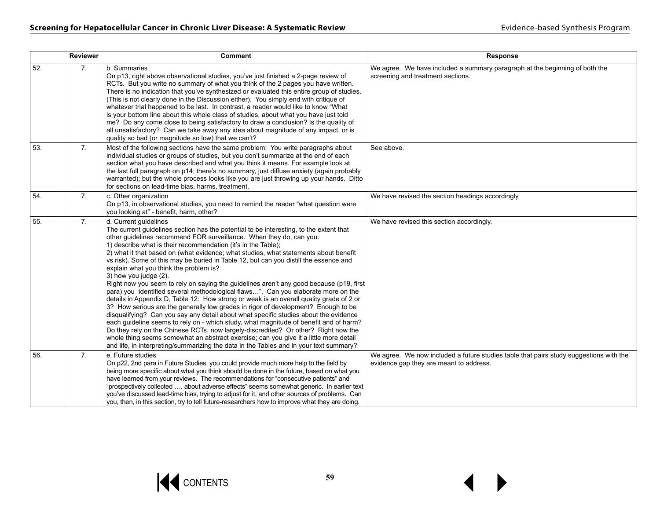|     | <b>Reviewer</b>  | Comment                                                                                                                                                                                                                                                                                                                                                                                                                                                                                                                                                                                                                                                                                                                                                                                                                                                                                                                                                                                                                                                                                                                                                                                                                                                                                                                                | Response                                                                                                                          |
|-----|------------------|----------------------------------------------------------------------------------------------------------------------------------------------------------------------------------------------------------------------------------------------------------------------------------------------------------------------------------------------------------------------------------------------------------------------------------------------------------------------------------------------------------------------------------------------------------------------------------------------------------------------------------------------------------------------------------------------------------------------------------------------------------------------------------------------------------------------------------------------------------------------------------------------------------------------------------------------------------------------------------------------------------------------------------------------------------------------------------------------------------------------------------------------------------------------------------------------------------------------------------------------------------------------------------------------------------------------------------------|-----------------------------------------------------------------------------------------------------------------------------------|
| 52. | 7.               | b. Summaries<br>On p13, right above observational studies, you've just finished a 2-page review of<br>RCTs. But you write no summary of what you think of the 2 pages you have written.<br>There is no indication that you've synthesized or evaluated this entire group of studies.<br>(This is not clearly done in the Discussion either). You simply end with critique of<br>whatever trial happened to be last. In contrast, a reader would like to know "What<br>is your bottom line about this whole class of studies, about what you have just told<br>me? Do any come close to being satisfactory to draw a conclusion? Is the quality of<br>all unsatisfactory? Can we take away any idea about magnitude of any impact, or is<br>quality so bad (or magnitude so low) that we can't?                                                                                                                                                                                                                                                                                                                                                                                                                                                                                                                                         | We agree. We have included a summary paragraph at the beginning of both the<br>screening and treatment sections.                  |
| 53. | 7.               | Most of the following sections have the same problem: You write paragraphs about<br>individual studies or groups of studies, but you don't summarize at the end of each<br>section what you have described and what you think it means. For example look at<br>the last full paragraph on p14; there's no summary, just diffuse anxiety (again probably<br>warranted); but the whole process looks like you are just throwing up your hands. Ditto<br>for sections on lead-time bias, harms, treatment.                                                                                                                                                                                                                                                                                                                                                                                                                                                                                                                                                                                                                                                                                                                                                                                                                                | See above.                                                                                                                        |
| 54. | $\mathbf{7}$ .   | c. Other organization<br>On p13, in observational studies, you need to remind the reader "what question were<br>you looking at" - benefit, harm, other?                                                                                                                                                                                                                                                                                                                                                                                                                                                                                                                                                                                                                                                                                                                                                                                                                                                                                                                                                                                                                                                                                                                                                                                | We have revised the section headings accordingly                                                                                  |
| 55. | $\overline{7}$ . | d. Current guidelines<br>The current guidelines section has the potential to be interesting, to the extent that<br>other guidelines recommend FOR surveillance. When they do, can you:<br>1) describe what is their recommendation (it's in the Table);<br>2) what it that based on (what evidence; what studies, what statements about benefit<br>vs risk). Some of this may be buried in Table 12, but can you distill the essence and<br>explain what you think the problem is?<br>3) how you judge (2).<br>Right now you seem to rely on saying the guidelines aren't any good because (p19, first<br>para) you "identified several methodological flaws". Can you elaborate more on the<br>details in Appendix D, Table 12: How strong or weak is an overall quality grade of 2 or<br>3? How serious are the generally low grades in rigor of development? Enough to be<br>disqualifying? Can you say any detail about what specific studies about the evidence<br>each guideline seems to rely on - which study, what magnitude of benefit and of harm?<br>Do they rely on the Chinese RCTs, now largely-discredited? Or other? Right now the<br>whole thing seems somewhat an abstract exercise; can you give it a little more detail<br>and life, in interpreting/summarizing the data in the Tables and in your text summary? | We have revised this section accordingly.                                                                                         |
| 56. | 7.               | e. Future studies<br>On p22, 2nd para in Future Studies, you could provide much more help to the field by<br>being more specific about what you think should be done in the future, based on what you<br>have learned from your reviews. The recommendations for "consecutive patients" and<br>"prospectively collected  about adverse effects" seems somewhat generic. In earlier text<br>you've discussed lead-time bias, trying to adjust for it, and other sources of problems. Can<br>you, then, in this section, try to tell future-researchers how to improve what they are doing.                                                                                                                                                                                                                                                                                                                                                                                                                                                                                                                                                                                                                                                                                                                                              | We agree. We now included a future studies table that pairs study suggestions with the<br>evidence gap they are meant to address. |

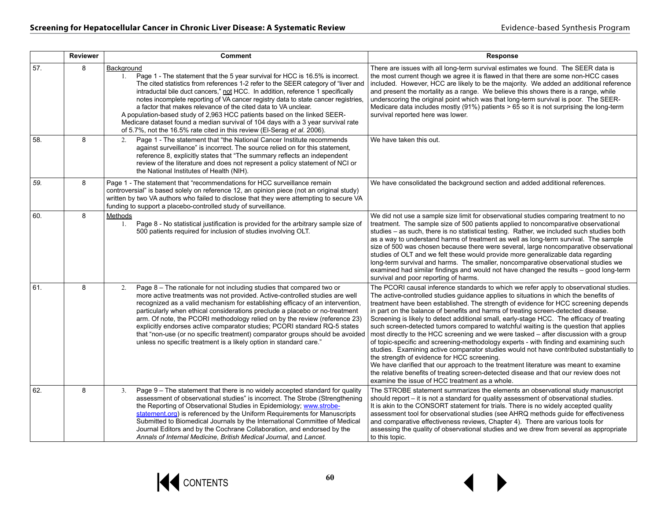|     | <b>Reviewer</b> | <b>Comment</b>                                                                                                                                                                                                                                                                                                                                                                                                                                                                                                                                                                                                                                                         | <b>Response</b>                                                                                                                                                                                                                                                                                                                                                                                                                                                                                                                                                                                                                                                                                                                                                                                                                                                                                                                                                                                                                                                                                                    |
|-----|-----------------|------------------------------------------------------------------------------------------------------------------------------------------------------------------------------------------------------------------------------------------------------------------------------------------------------------------------------------------------------------------------------------------------------------------------------------------------------------------------------------------------------------------------------------------------------------------------------------------------------------------------------------------------------------------------|--------------------------------------------------------------------------------------------------------------------------------------------------------------------------------------------------------------------------------------------------------------------------------------------------------------------------------------------------------------------------------------------------------------------------------------------------------------------------------------------------------------------------------------------------------------------------------------------------------------------------------------------------------------------------------------------------------------------------------------------------------------------------------------------------------------------------------------------------------------------------------------------------------------------------------------------------------------------------------------------------------------------------------------------------------------------------------------------------------------------|
| 57. | 8               | Background<br>Page 1 - The statement that the 5 year survival for HCC is 16.5% is incorrect.<br>The cited statistics from references 1-2 refer to the SEER category of "liver and<br>intraductal bile duct cancers," not HCC. In addition, reference 1 specifically<br>notes incomplete reporting of VA cancer registry data to state cancer registries,<br>a factor that makes relevance of the cited data to VA unclear.<br>A population-based study of 2,963 HCC patients based on the linked SEER-<br>Medicare dataset found a median survival of 104 days with a 3 year survival rate<br>of 5.7%, not the 16.5% rate cited in this review (El-Serag et al. 2006). | There are issues with all long-term survival estimates we found. The SEER data is<br>the most current though we agree it is flawed in that there are some non-HCC cases<br>included. However, HCC are likely to be the majority. We added an additional reference<br>and present the mortality as a range. We believe this shows there is a range, while<br>underscoring the original point which was that long-term survival is poor. The SEER-<br>Medicare data includes mostly (91%) patients > 65 so it is not surprising the long-term<br>survival reported here was lower.                                                                                                                                                                                                                                                                                                                                                                                                                                                                                                                                   |
| 58. | 8               | Page 1 - The statement that "the National Cancer Institute recommends<br>2.<br>against surveillance" is incorrect. The source relied on for this statement,<br>reference 8, explicitly states that "The summary reflects an independent<br>review of the literature and does not represent a policy statement of NCI or<br>the National Institutes of Health (NIH).                                                                                                                                                                                                                                                                                                    | We have taken this out.                                                                                                                                                                                                                                                                                                                                                                                                                                                                                                                                                                                                                                                                                                                                                                                                                                                                                                                                                                                                                                                                                            |
| 59. | 8               | Page 1 - The statement that "recommendations for HCC surveillance remain<br>controversial" is based solely on reference 12, an opinion piece (not an original study)<br>written by two VA authors who failed to disclose that they were attempting to secure VA<br>funding to support a placebo-controlled study of surveillance.                                                                                                                                                                                                                                                                                                                                      | We have consolidated the background section and added additional references.                                                                                                                                                                                                                                                                                                                                                                                                                                                                                                                                                                                                                                                                                                                                                                                                                                                                                                                                                                                                                                       |
| 60. | 8               | Methods<br>1. Page 8 - No statistical justification is provided for the arbitrary sample size of<br>500 patients required for inclusion of studies involving OLT.                                                                                                                                                                                                                                                                                                                                                                                                                                                                                                      | We did not use a sample size limit for observational studies comparing treatment to no<br>treatment. The sample size of 500 patients applied to noncomparative observational<br>studies - as such, there is no statistical testing. Rather, we included such studies both<br>as a way to understand harms of treatment as well as long-term survival. The sample<br>size of 500 was chosen because there were several, large noncomparative observational<br>studies of OLT and we felt these would provide more generalizable data regarding<br>long-term survival and harms. The smaller, noncomparative observational studies we<br>examined had similar findings and would not have changed the results - good long-term<br>survival and poor reporting of harms.                                                                                                                                                                                                                                                                                                                                              |
| 61. | 8               | Page 8 - The rationale for not including studies that compared two or<br>2.<br>more active treatments was not provided. Active-controlled studies are well<br>recognized as a valid mechanism for establishing efficacy of an intervention.<br>particularly when ethical considerations preclude a placebo or no-treatment<br>arm. Of note, the PCORI methodology relied on by the review (reference 23)<br>explicitly endorses active comparator studies; PCORI standard RQ-5 states<br>that "non-use (or no specific treatment) comparator groups should be avoided<br>unless no specific treatment is a likely option in standard care."                            | The PCORI causal inference standards to which we refer apply to observational studies.<br>The active-controlled studies guidance applies to situations in which the benefits of<br>treatment have been established. The strength of evidence for HCC screening depends<br>in part on the balance of benefits and harms of treating screen-detected disease.<br>Screening is likely to detect additional small, early-stage HCC. The efficacy of treating<br>such screen-detected tumors compared to watchful waiting is the question that applies<br>most directly to the HCC screening and we were tasked - after discussion with a group<br>of topic-specific and screening-methodology experts - with finding and examining such<br>studies. Examining active comparator studies would not have contributed substantially to<br>the strength of evidence for HCC screening.<br>We have clarified that our approach to the treatment literature was meant to examine<br>the relative benefits of treating screen-detected disease and that our review does not<br>examine the issue of HCC treatment as a whole. |
| 62. | 8               | Page 9 - The statement that there is no widely accepted standard for quality<br>3.<br>assessment of observational studies" is incorrect. The Strobe (Strengthening<br>the Reporting of Observational Studies in Epidemiology; www.strobe-<br>statement.org) is referenced by the Uniform Requirements for Manuscripts<br>Submitted to Biomedical Journals by the International Committee of Medical<br>Journal Editors and by the Cochrane Collaboration, and endorsed by the<br>Annals of Internal Medicine, British Medical Journal, and Lancet.                                                                                                                     | The STROBE statement summarizes the elements an observational study manuscript<br>should report – it is not a standard for quality assessment of observational studies.<br>It is akin to the CONSORT statement for trials. There is no widely accepted quality<br>assessment tool for observational studies (see AHRQ methods guide for effectiveness<br>and comparative effectiveness reviews, Chapter 4). There are various tools for<br>assessing the quality of observational studies and we drew from several as appropriate<br>to this topic.                                                                                                                                                                                                                                                                                                                                                                                                                                                                                                                                                                |